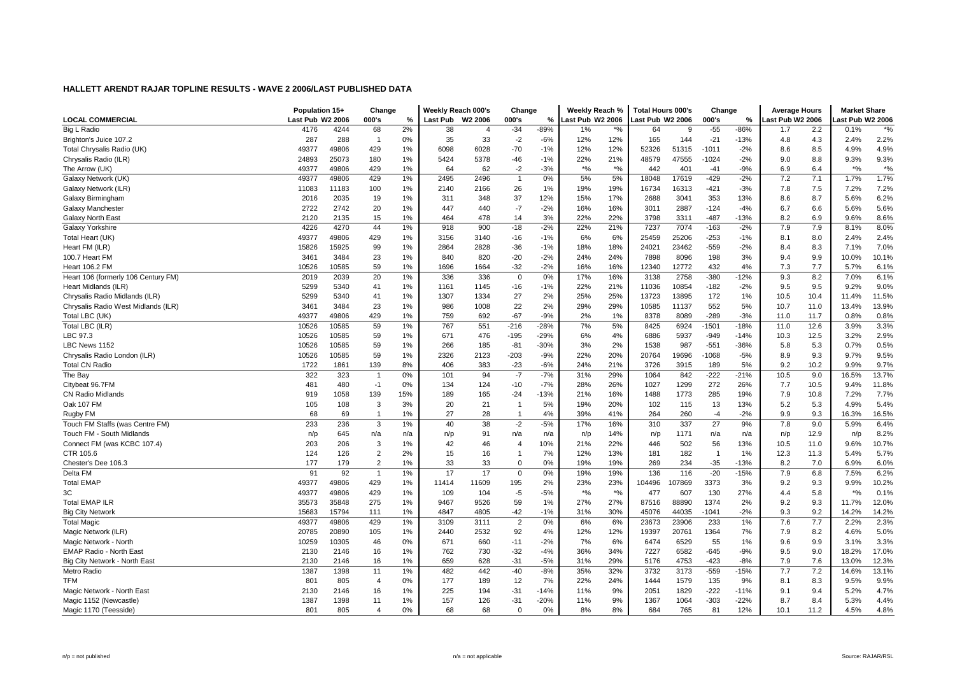|                                     | Population 15+   |       | Change         |     | Weekly Reach 000's |                | Change         |        | Weekly Reach %   |       | <b>Total Hours 000's</b> |              | Change         |        | <b>Average Hours</b> |      | <b>Market Share</b> |               |
|-------------------------------------|------------------|-------|----------------|-----|--------------------|----------------|----------------|--------|------------------|-------|--------------------------|--------------|----------------|--------|----------------------|------|---------------------|---------------|
| <b>LOCAL COMMERCIAL</b>             | Last Pub W2 2006 |       | 000's          | %   | Last Pub           | W2 2006        | 000's          | %      | Last Pub W2 2006 |       | ast Pub W2 2006          |              | 000's          | %      | Last Pub W2 2006     |      | ast Pub W2 2006     |               |
| Big L Radio                         | 4176             | 4244  | 68             | 2%  | 38                 | $\overline{4}$ | $-34$          | $-89%$ | 1%               | $*$ % | 64                       | <sub>9</sub> | $-55$          | $-86%$ | 1.7                  | 2.2  | 0.1%                | $\frac{1}{2}$ |
| Brighton's Juice 107.2              | 287              | 288   | $\overline{1}$ | 0%  | 35                 | 33             | $-2$           | $-6%$  | 12%              | 12%   | 165                      | 144          | $-21$          | $-13%$ | 4.8                  | 4.3  | 2.4%                | 2.2%          |
| Total Chrysalis Radio (UK)          | 49377            | 49806 | 429            | 1%  | 6098               | 6028           | $-70$          | $-1%$  | 12%              | 12%   | 52326                    | 51315        | $-1011$        | $-2%$  | 8.6                  | 8.5  | 4.9%                | 4.9%          |
| Chrysalis Radio (ILR)               | 24893            | 25073 | 180            | 1%  | 5424               | 5378           | $-46$          | $-1%$  | 22%              | 21%   | 48579                    | 47555        | -1024          | $-2%$  | 9.0                  | 8.8  | 9.3%                | 9.3%          |
| The Arrow (UK)                      | 49377            | 49806 | 429            | 1%  | 64                 | 62             | $-2$           | $-3%$  | $\frac{1}{6}$    | $*$ % | 442                      | 401          | $-41$          | $-9%$  | 6.9                  | 6.4  | $*9/6$              | $\frac{1}{2}$ |
| Galaxy Network (UK)                 | 49377            | 49806 | 429            | 1%  | 2495               | 2496           | $\overline{1}$ | 0%     | 5%               | 5%    | 18048                    | 17619        | $-429$         | $-2%$  | 7.2                  | 7.1  | 1.7%                | 1.7%          |
| Galaxy Network (ILR)                | 11083            | 11183 | 100            | 1%  | 2140               | 2166           | 26             | 1%     | 19%              | 19%   | 16734                    | 16313        | $-421$         | $-3%$  | 7.8                  | 7.5  | 7.2%                | 7.2%          |
| Galaxy Birmingham                   | 2016             | 2035  | 19             | 1%  | 311                | 348            | 37             | 12%    | 15%              | 17%   | 2688                     | 3041         | 353            | 13%    | 8.6                  | 8.7  | 5.6%                | 6.2%          |
| Galaxy Manchester                   | 2722             | 2742  | 20             | 1%  | 447                | 440            | $-7$           | $-2%$  | 16%              | 16%   | 3011                     | 2887         | $-124$         | $-4%$  | 6.7                  | 6.6  | 5.6%                | 5.6%          |
| Galaxy North East                   | 2120             | 2135  | 15             | 1%  | 464                | 478            | 14             | 3%     | 22%              | 22%   | 3798                     | 3311         | $-487$         | $-13%$ | 8.2                  | 6.9  | 9.6%                | 8.6%          |
| Galaxy Yorkshire                    | 4226             | 4270  | 44             | 1%  | 918                | 900            | $-18$          | $-2%$  | 22%              | 21%   | 7237                     | 7074         | $-163$         | $-2%$  | 7.9                  | 7.9  | 8.1%                | 8.0%          |
| Total Heart (UK)                    | 49377            | 49806 | 429            | 1%  | 3156               | 3140           | $-16$          | $-1%$  | 6%               | 6%    | 25459                    | 25206        | $-253$         | $-1%$  | 8.1                  | 8.0  | 2.4%                | 2.4%          |
| Heart FM (ILR)                      | 15826            | 15925 | 99             | 1%  | 2864               | 2828           | $-36$          | $-1%$  | 18%              | 18%   | 24021                    | 23462        | $-559$         | $-2%$  | 8.4                  | 8.3  | 7.1%                | 7.0%          |
| 100.7 Heart FM                      | 3461             | 3484  | 23             | 1%  | 840                | 820            | $-20$          | $-2%$  | 24%              | 24%   | 7898                     | 8096         | 198            | 3%     | 9.4                  | 9.9  | 10.0%               | 10.1%         |
| Heart 106.2 FM                      | 10526            | 10585 | 59             | 1%  | 1696               | 1664           | $-32$          | $-2%$  | 16%              | 16%   | 12340                    | 12772        | 432            | 4%     | 7.3                  | 7.7  | 5.7%                | 6.1%          |
| Heart 106 (formerly 106 Century FM) | 2019             | 2039  | 20             | 1%  | 336                | 336            | $\mathbf 0$    | 0%     | 17%              | 16%   | 3138                     | 2758         | $-380$         | $-12%$ | 9.3                  | 8.2  | 7.0%                | 6.1%          |
| Heart Midlands (ILR)                | 5299             | 5340  | 41             | 1%  | 1161               | 1145           | $-16$          | $-1%$  | 22%              | 21%   | 11036                    | 10854        | $-182$         | $-2%$  | 9.5                  | 9.5  | 9.2%                | 9.0%          |
| Chrysalis Radio Midlands (ILR)      | 5299             | 5340  | 41             | 1%  | 1307               | 1334           | 27             | 2%     | 25%              | 25%   | 13723                    | 13895        | 172            | 1%     | 10.5                 | 10.4 | 11.4%               | 11.5%         |
| Chrysalis Radio West Midlands (ILR) | 3461             | 3484  | 23             | 1%  | 986                | 1008           | 22             | 2%     | 29%              | 29%   | 10585                    | 11137        | 552            | 5%     | 10.7                 | 11.0 | 13.4%               | 13.9%         |
| Total LBC (UK)                      | 49377            | 49806 | 429            | 1%  | 759                | 692            | $-67$          | $-9%$  | 2%               | 1%    | 8378                     | 8089         | $-289$         | $-3%$  | 11.0                 | 11.7 | 0.8%                | 0.8%          |
| Total LBC (ILR)                     | 10526            | 10585 | 59             | 1%  | 767                | 551            | $-216$         | $-28%$ | 7%               | 5%    | 8425                     | 6924         | -1501          | $-18%$ | 11.0                 | 12.6 | 3.9%                | 3.3%          |
| LBC 97.3                            | 10526            | 10585 | 59             | 1%  | 671                | 476            | $-195$         | $-29%$ | 6%               | 4%    | 6886                     | 5937         | $-949$         | $-14%$ | 10.3                 | 12.5 | 3.2%                | 2.9%          |
| LBC News 1152                       | 10526            | 10585 | 59             | 1%  | 266                | 185            | $-81$          | $-30%$ | 3%               | 2%    | 1538                     | 987          | $-551$         | $-36%$ | 5.8                  | 5.3  | 0.7%                | 0.5%          |
| Chrysalis Radio London (ILR)        | 10526            | 10585 | 59             | 1%  | 2326               | 2123           | $-203$         | $-9%$  | 22%              | 20%   | 20764                    | 19696        | $-1068$        | $-5%$  | 8.9                  | 9.3  | 9.7%                | 9.5%          |
| <b>Total CN Radio</b>               | 1722             | 1861  | 139            | 8%  | 406                | 383            | $-23$          | $-6%$  | 24%              | 21%   | 3726                     | 3915         | 189            | 5%     | 9.2                  | 10.2 | 9.9%                | 9.7%          |
| The Bay                             | 322              | 323   | $\overline{1}$ | 0%  | 101                | 94             | $-7$           | $-7%$  | 31%              | 29%   | 1064                     | 842          | $-222$         | $-21%$ | 10.5                 | 9.0  | 16.5%               | 13.7%         |
| Citybeat 96.7FM                     | 481              | 480   | $-1$           | 0%  | 134                | 124            | $-10$          | $-7%$  | 28%              | 26%   | 1027                     | 1299         | 272            | 26%    | 7.7                  | 10.5 | 9.4%                | 11.8%         |
| <b>CN Radio Midlands</b>            | 919              | 1058  | 139            | 15% | 189                | 165            | $-24$          | $-13%$ | 21%              | 16%   | 1488                     | 1773         | 285            | 19%    | 7.9                  | 10.8 | 7.2%                | 7.7%          |
| Oak 107 FM                          | 105              | 108   | 3              | 3%  | 20                 | 21             | $\overline{1}$ | 5%     | 19%              | 20%   | 102                      | 115          | 13             | 13%    | 5.2                  | 5.3  | 4.9%                | 5.4%          |
| Rugby FM                            | 68               | 69    | $\overline{1}$ | 1%  | 27                 | 28             | $\overline{1}$ | 4%     | 39%              | 41%   | 264                      | 260          | -4             | $-2%$  | 9.9                  | 9.3  | 16.3%               | 16.5%         |
| Touch FM Staffs (was Centre FM)     | 233              | 236   | 3              | 1%  | 40                 | 38             | $-2$           | $-5%$  | 17%              | 16%   | 310                      | 337          | 27             | 9%     | 7.8                  | 9.0  | 5.9%                | 6.4%          |
| Touch FM - South Midlands           | n/p              | 645   | n/a            | n/a | n/p                | 91             | n/a            | n/a    | n/p              | 14%   | n/p                      | 1171         | n/a            | n/a    | n/p                  | 12.9 | n/p                 | 8.2%          |
| Connect FM (was KCBC 107.4)         | 203              | 206   | 3              | 1%  | 42                 | 46             | $\overline{4}$ | 10%    | 21%              | 22%   | 446                      | 502          | 56             | 13%    | 10.5                 | 11.0 | 9.6%                | 10.7%         |
| CTR 105.6                           | 124              | 126   | 2              | 2%  | 15                 | 16             | $\overline{1}$ | 7%     | 12%              | 13%   | 181                      | 182          | $\overline{1}$ | 1%     | 12.3                 | 11.3 | 5.4%                | 5.7%          |
| Chester's Dee 106.3                 | 177              | 179   | $\overline{2}$ | 1%  | 33                 | 33             | $\overline{0}$ | 0%     | 19%              | 19%   | 269                      | 234          | $-35$          | $-13%$ | 8.2                  | 7.0  | 6.9%                | 6.0%          |
| Delta FM                            | 91               | 92    | $\overline{1}$ | 1%  | 17                 | 17             | $\overline{0}$ | 0%     | 19%              | 19%   | 136                      | 116          | $-20$          | $-15%$ | 7.9                  | 6.8  | 7.5%                | 6.2%          |
| <b>Total EMAP</b>                   | 49377            | 49806 | 429            | 1%  | 11414              | 11609          | 195            | 2%     | 23%              | 23%   | 104496                   | 07869        | 3373           | 3%     | 9.2                  | 9.3  | 9.9%                | 10.2%         |
| 3C                                  | 49377            | 49806 | 429            | 1%  | 109                | 104            | $-5$           | $-5%$  | $*9/6$           | $*$ % | 477                      | 607          | 130            | 27%    | 4.4                  | 5.8  | $*9/6$              | 0.1%          |
| <b>Total EMAP ILR</b>               | 35573            | 35848 | 275            | 1%  | 9467               | 9526           | 59             | 1%     | 27%              | 27%   | 87516                    | 88890        | 1374           | 2%     | 9.2                  | 9.3  | 11.7%               | 12.0%         |
| <b>Big City Network</b>             | 15683            | 15794 | 111            | 1%  | 4847               | 4805           | $-42$          | $-1%$  | 31%              | 30%   | 45076                    | 44035        | $-1041$        | $-2%$  | 9.3                  | 9.2  | 14.2%               | 14.2%         |
| <b>Total Magic</b>                  | 49377            | 49806 | 429            | 1%  | 3109               | 3111           | $\overline{2}$ | 0%     | 6%               | 6%    | 23673                    | 23906        | 233            | 1%     | 7.6                  | 7.7  | 2.2%                | 2.3%          |
| Magic Network (ILR)                 | 20785            | 20890 | 105            | 1%  | 2440               | 2532           | 92             | 4%     | 12%              | 12%   | 19397                    | 20761        | 1364           | 7%     | 7.9                  | 8.2  | 4.6%                | 5.0%          |
| Magic Network - North               | 10259            | 10305 | 46             | 0%  | 671                | 660            | $-11$          | $-2%$  | 7%               | 6%    | 6474                     | 6529         | 55             | 1%     | 9.6                  | 9.9  | 3.1%                | 3.3%          |
| EMAP Radio - North East             | 2130             | 2146  | 16             | 1%  | 762                | 730            | $-32$          | $-4%$  | 36%              | 34%   | 7227                     | 6582         | $-645$         | $-9%$  | 9.5                  | 9.0  | 18.2%               | 17.0%         |
| Big City Network - North East       | 2130             | 2146  | 16             | 1%  | 659                | 628            | $-31$          | $-5%$  | 31%              | 29%   | 5176                     | 4753         | $-423$         | $-8%$  | 7.9                  | 7.6  | 13.0%               | 12.3%         |
| Metro Radio                         | 1387             | 1398  | 11             | 1%  | 482                | 442            | $-40$          | $-8%$  | 35%              | 32%   | 3732                     | 3173         | $-559$         | -15%   | 7.7                  | 7.2  | 14.6%               | 13.1%         |
| <b>TFM</b>                          | 801              | 805   | 4              | 0%  | 177                | 189            | 12             | 7%     | 22%              | 24%   | 1444                     | 1579         | 135            | 9%     | 8.1                  | 8.3  | 9.5%                | 9.9%          |
| Magic Network - North East          | 2130             | 2146  | 16             | 1%  | 225                | 194            | $-31$          | $-14%$ | 11%              | 9%    | 2051                     | 1829         | $-222$         | $-11%$ | 9.1                  | 9.4  | 5.2%                | 4.7%          |
| Magic 1152 (Newcastle)              | 1387             | 1398  | 11             | 1%  | 157                | 126            | $-31$          | $-20%$ | 11%              | 9%    | 1367                     | 1064         | $-303$         | $-22%$ | 8.7                  | 8.4  | 5.3%                | 4.4%          |
| Magic 1170 (Teesside)               | 801              | 805   | 4              | 0%  | 68                 | 68             | $\Omega$       | 0%     | 8%               | 8%    | 684                      | 765          | 81             | 12%    | 10.1                 | 11.2 | 4.5%                | 4.8%          |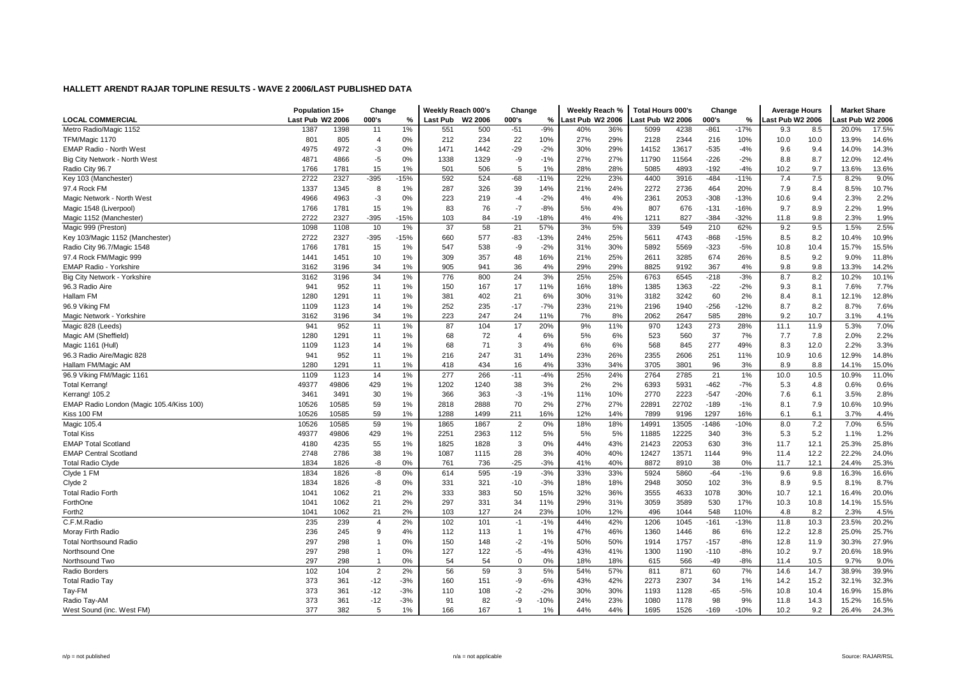|                                          | Population 15+   |       | Change         |        | Weekly Reach 000's |                     | Change         |        | Weekly Reach %   |     | <b>Total Hours 000's</b> |       | Change  |        | <b>Average Hours</b> |      | <b>Market Share</b> |       |
|------------------------------------------|------------------|-------|----------------|--------|--------------------|---------------------|----------------|--------|------------------|-----|--------------------------|-------|---------|--------|----------------------|------|---------------------|-------|
| <b>LOCAL COMMERCIAL</b>                  | Last Pub W2 2006 |       | 000's          | %      | Last Pub           | W <sub>2</sub> 2006 | 000's          | $\%$   | Last Pub W2 2006 |     | ast Pub W2 2006          |       | 000's   | %      | ast Pub W2 2006.     |      | ast Pub W2 2006     |       |
| Metro Radio/Magic 1152                   | 1387             | 1398  | 11             | 1%     | 551                | 500                 | $-51$          | $-9%$  | 40%              | 36% | 5099                     | 4238  | $-861$  | $-17%$ | 9.3                  | 8.5  | 20.0%               | 17.5% |
| TFM/Magic 1170                           | 801              | 805   | $\overline{4}$ | 0%     | 212                | 234                 | 22             | 10%    | 27%              | 29% | 2128                     | 2344  | 216     | 10%    | 10.0                 | 10.0 | 13.9%               | 14.6% |
| <b>EMAP Radio - North West</b>           | 4975             | 4972  | $-3$           | 0%     | 1471               | 1442                | $-29$          | $-2%$  | 30%              | 29% | 14152                    | 13617 | $-535$  | $-4%$  | 9.6                  | 9.4  | 14.0%               | 14.3% |
| Big City Network - North West            | 4871             | 4866  | $-5$           | 0%     | 1338               | 1329                | -9             | $-1%$  | 27%              | 27% | 11790                    | 11564 | $-226$  | $-2%$  | 8.8                  | 8.7  | 12.0%               | 12.4% |
| Radio City 96.7                          | 1766             | 1781  | 15             | 1%     | 501                | 506                 | 5              | 1%     | 28%              | 28% | 5085                     | 4893  | $-192$  | $-4%$  | 10.2                 | 9.7  | 13.6%               | 13.6% |
| Key 103 (Manchester)                     | 2722             | 2327  | $-395$         | $-15%$ | 592                | 524                 | $-68$          | $-11%$ | 22%              | 23% | 4400                     | 3916  | $-484$  | $-11%$ | 7.4                  | 7.5  | 8.2%                | 9.0%  |
| 97.4 Rock FM                             | 1337             | 1345  | 8              | 1%     | 287                | 326                 | 39             | 14%    | 21%              | 24% | 2272                     | 2736  | 464     | 20%    | 7.9                  | 8.4  | 8.5%                | 10.7% |
| Magic Network - North West               | 4966             | 4963  | $-3$           | 0%     | 223                | 219                 | $-4$           | $-2%$  | 4%               | 4%  | 2361                     | 2053  | $-308$  | $-13%$ | 10.6                 | 9.4  | 2.3%                | 2.2%  |
| Magic 1548 (Liverpool)                   | 1766             | 1781  | 15             | 1%     | 83                 | 76                  | $-7$           | $-8%$  | 5%               | 4%  | 807                      | 676   | $-131$  | $-16%$ | 9.7                  | 8.9  | 2.2%                | 1.9%  |
| Magic 1152 (Manchester)                  | 2722             | 2327  | $-395$         | $-15%$ | 103                | 84                  | $-19$          | $-18%$ | 4%               | 4%  | 1211                     | 827   | $-384$  | $-32%$ | 11.8                 | 9.8  | 2.3%                | 1.9%  |
| Magic 999 (Preston)                      | 1098             | 1108  | 10             | 1%     | 37                 | 58                  | 21             | 57%    | 3%               | 5%  | 339                      | 549   | 210     | 62%    | 9.2                  | 9.5  | 1.5%                | 2.5%  |
| Key 103/Magic 1152 (Manchester)          | 2722             | 2327  | -395           | $-15%$ | 660                | 577                 | -83            | $-13%$ | 24%              | 25% | 5611                     | 4743  | $-868$  | $-15%$ | 8.5                  | 8.2  | 10.4%               | 10.9% |
| Radio City 96.7/Magic 1548               | 1766             | 1781  | 15             | 1%     | 547                | 538                 | -9             | $-2%$  | 31%              | 30% | 5892                     | 5569  | $-323$  | $-5%$  | 10.8                 | 10.4 | 15.7%               | 15.5% |
| 97.4 Rock FM/Magic 999                   | 1441             | 1451  | 10             | 1%     | 309                | 357                 | 48             | 16%    | 21%              | 25% | 2611                     | 3285  | 674     | 26%    | 8.5                  | 9.2  | 9.0%                | 11.8% |
| <b>EMAP Radio - Yorkshire</b>            | 3162             | 3196  | 34             | 1%     | 905                | 941                 | 36             | 4%     | 29%              | 29% | 8825                     | 9192  | 367     | 4%     | 9.8                  | 9.8  | 13.3%               | 14.2% |
| Big City Network - Yorkshire             | 3162             | 3196  | 34             | 1%     | 776                | 800                 | 24             | 3%     | 25%              | 25% | 6763                     | 6545  | $-218$  | $-3%$  | 8.7                  | 8.2  | 10.2%               | 10.1% |
| 96.3 Radio Aire                          | 941              | 952   | 11             | 1%     | 150                | 167                 | 17             | 11%    | 16%              | 18% | 1385                     | 1363  | $-22$   | $-2%$  | 9.3                  | 8.1  | 7.6%                | 7.7%  |
| Hallam FM                                | 1280             | 1291  | 11             | 1%     | 381                | 402                 | 21             | 6%     | 30%              | 31% | 3182                     | 3242  | 60      | 2%     | 8.4                  | 8.1  | 12.1%               | 12.8% |
| 96.9 Viking FM                           | 1109             | 1123  | 14             | 1%     | 252                | 235                 | $-17$          | $-7%$  | 23%              | 21% | 2196                     | 1940  | $-256$  | $-12%$ | 8.7                  | 8.2  | 8.7%                | 7.6%  |
| Magic Network - Yorkshire                | 3162             | 3196  | 34             | 1%     | 223                | 247                 | 24             | 11%    | 7%               | 8%  | 2062                     | 2647  | 585     | 28%    | 9.2                  | 10.7 | 3.1%                | 4.1%  |
| Magic 828 (Leeds)                        | 941              | 952   | 11             | 1%     | 87                 | 104                 | 17             | 20%    | 9%               | 11% | 970                      | 1243  | 273     | 28%    | 11.1                 | 11.9 | 5.3%                | 7.0%  |
| Magic AM (Sheffield)                     | 1280             | 1291  | 11             | 1%     | 68                 | 72                  | $\overline{4}$ | 6%     | 5%               | 6%  | 523                      | 560   | 37      | 7%     | 7.7                  | 7.8  | 2.0%                | 2.2%  |
| Magic 1161 (Hull)                        | 1109             | 1123  | 14             | 1%     | 68                 | 71                  | 3              | 4%     | 6%               | 6%  | 568                      | 845   | 277     | 49%    | 8.3                  | 12.0 | 2.2%                | 3.3%  |
| 96.3 Radio Aire/Magic 828                | 941              | 952   | 11             | 1%     | 216                | 247                 | 31             | 14%    | 23%              | 26% | 2355                     | 2606  | 251     | 11%    | 10.9                 | 10.6 | 12.9%               | 14.8% |
| Hallam FM/Magic AM                       | 1280             | 1291  | 11             | 1%     | 418                | 434                 | 16             | 4%     | 33%              | 34% | 3705                     | 3801  | 96      | 3%     | 8.9                  | 8.8  | 14.1%               | 15.0% |
| 96.9 Viking FM/Magic 1161                | 1109             | 1123  | 14             | 1%     | 277                | 266                 | $-11$          | $-4%$  | 25%              | 24% | 2764                     | 2785  | 21      | 1%     | 10.0                 | 10.5 | 10.9%               | 11.0% |
| <b>Total Kerrang!</b>                    | 49377            | 49806 | 429            | 1%     | 1202               | 1240                | 38             | 3%     | 2%               | 2%  | 6393                     | 5931  | $-462$  | $-7%$  | 5.3                  | 4.8  | 0.6%                | 0.6%  |
| Kerrang! 105.2                           | 3461             | 3491  | 30             | 1%     | 366                | 363                 | -3             | $-1%$  | 11%              | 10% | 2770                     | 2223  | $-547$  | $-20%$ | 7.6                  | 6.1  | 3.5%                | 2.8%  |
| EMAP Radio London (Magic 105.4/Kiss 100) | 10526            | 10585 | 59             | 1%     | 2818               | 2888                | 70             | 2%     | 27%              | 27% | 22891                    | 22702 | $-189$  | $-1%$  | 8.1                  | 7.9  | 10.6%               | 10.9% |
| Kiss 100 FM                              | 10526            | 10585 | 59             | 1%     | 1288               | 1499                | 211            | 16%    | 12%              | 14% | 7899                     | 9196  | 1297    | 16%    | 6.1                  | 6.1  | 3.7%                | 4.4%  |
| Magic 105.4                              | 10526            | 10585 | 59             | 1%     | 1865               | 1867                | $\overline{2}$ | 0%     | 18%              | 18% | 14991                    | 13505 | $-1486$ | $-10%$ | 8.0                  | 7.2  | 7.0%                | 6.5%  |
| <b>Total Kiss</b>                        | 49377            | 49806 | 429            | 1%     | 2251               | 2363                | 112            | 5%     | 5%               | 5%  | 11885                    | 12225 | 340     | 3%     | 5.3                  | 5.2  | 1.1%                | 1.2%  |
| <b>EMAP Total Scotland</b>               | 4180             | 4235  | 55             | 1%     | 1825               | 1828                | 3              | 0%     | 44%              | 43% | 21423                    | 22053 | 630     | 3%     | 11.7                 | 12.1 | 25.3%               | 25.8% |
| <b>EMAP Central Scotland</b>             | 2748             | 2786  | 38             | 1%     | 1087               | 1115                | 28             | 3%     | 40%              | 40% | 12427                    | 13571 | 1144    | 9%     | 11.4                 | 12.2 | 22.2%               | 24.0% |
| <b>Total Radio Clyde</b>                 | 1834             | 1826  | -8             | 0%     | 761                | 736                 | $-25$          | $-3%$  | 41%              | 40% | 8872                     | 8910  | 38      | 0%     | 11.7                 | 12.1 | 24.4%               | 25.3% |
| Clyde 1 FM                               | 1834             | 1826  | -8             | 0%     | 614                | 595                 | $-19$          | $-3%$  | 33%              | 33% | 5924                     | 5860  | $-64$   | $-1%$  | 9.6                  | 9.8  | 16.3%               | 16.6% |
| Clyde 2                                  | 1834             | 1826  | -8             | 0%     | 331                | 321                 | $-10$          | $-3%$  | 18%              | 18% | 2948                     | 3050  | 102     | 3%     | 8.9                  | 9.5  | 8.1%                | 8.7%  |
| <b>Total Radio Forth</b>                 | 1041             | 1062  | 21             | 2%     | 333                | 383                 | 50             | 15%    | 32%              | 36% | 3555                     | 4633  | 1078    | 30%    | 10.7                 | 12.1 | 16.4%               | 20.0% |
| ForthOne                                 | 1041             | 1062  | 21             | 2%     | 297                | 331                 | 34             | 11%    | 29%              | 31% | 3059                     | 3589  | 530     | 17%    | 10.3                 | 10.8 | 14.1%               | 15.5% |
| Forth <sub>2</sub>                       | 1041             | 1062  | 21             | 2%     | 103                | 127                 | 24             | 23%    | 10%              | 12% | 496                      | 1044  | 548     | 110%   | 4.8                  | 8.2  | 2.3%                | 4.5%  |
| C.F.M.Radio                              | 235              | 239   | $\overline{4}$ | 2%     | 102                | 101                 | $-1$           | $-1%$  | 44%              | 42% | 1206                     | 1045  | $-161$  | $-13%$ | 11.8                 | 10.3 | 23.5%               | 20.2% |
| Moray Firth Radio                        | 236              | 245   | 9              | 4%     | 112                | 113                 | $\overline{1}$ | 1%     | 47%              | 46% | 1360                     | 1446  | 86      | 6%     | 12.2                 | 12.8 | 25.0%               | 25.7% |
| <b>Total Northsound Radio</b>            | 297              | 298   | $\mathbf{1}$   | 0%     | 150                | 148                 | $-2$           | $-1%$  | 50%              | 50% | 1914                     | 1757  | $-157$  | $-8%$  | 12.8                 | 11.9 | 30.3%               | 27.9% |
| Northsound One                           | 297              | 298   | $\mathbf{1}$   | 0%     | 127                | 122                 | $-5$           | $-4%$  | 43%              | 41% | 1300                     | 1190  | $-110$  | $-8%$  | 10.2                 | 9.7  | 20.6%               | 18.9% |
| Northsound Two                           | 297              | 298   | $\mathbf{1}$   | 0%     | 54                 | 54                  | $\mathbf 0$    | 0%     | 18%              | 18% | 615                      | 566   | $-49$   | $-8%$  | 11.4                 | 10.5 | 9.7%                | 9.0%  |
| Radio Borders                            | 102              | 104   | $\overline{c}$ | 2%     | 56                 | 59                  | 3              | 5%     | 54%              | 57% | 811                      | 871   | 60      | 7%     | 14.6                 | 14.7 | 38.9%               | 39.9% |
| <b>Total Radio Tay</b>                   | 373              | 361   | $-12$          | $-3%$  | 160                | 151                 | -9             | $-6%$  | 43%              | 42% | 2273                     | 2307  | 34      | 1%     | 14.2                 | 15.2 | 32.1%               | 32.3% |
| Tay-FM                                   | 373              | 361   | $-12$          | $-3%$  | 110                | 108                 | $-2$           | $-2%$  | 30%              | 30% | 1193                     | 1128  | $-65$   | $-5%$  | 10.8                 | 10.4 | 16.9%               | 15.8% |
| Radio Tay-AM                             | 373              | 361   | $-12$          | $-3%$  | 91                 | 82                  | -9             | $-10%$ | 24%              | 23% | 1080                     | 1178  | 98      | 9%     | 11.8                 | 14.3 | 15.2%               | 16.5% |
| West Sound (inc. West FM)                | 377              | 382   | 5              | 1%     | 166                | 167                 | $\overline{1}$ | 1%     | 44%              | 44% | 1695                     | 1526  | $-169$  | $-10%$ | 10.2                 | 9.2  | 26.4%               | 24.3% |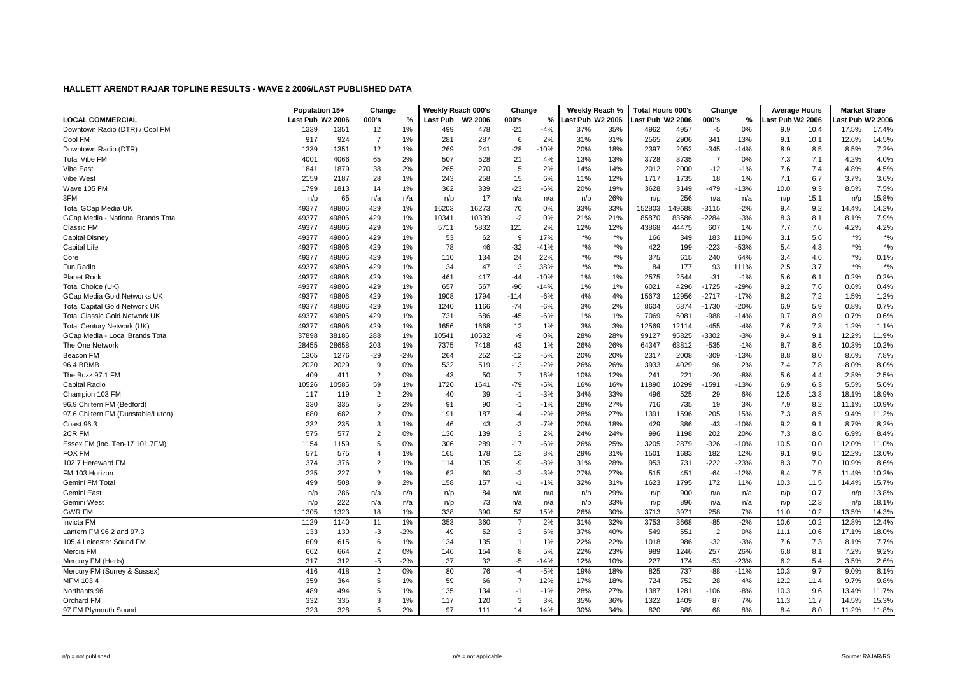|                                      | Population 15+   |       | Change         |       | Weekly Reach 000's |                     | Change         |        | Weekly Reach %   |                                               | Total Hours 000's |       | Change         |        | <b>Average Hours</b> |      | <b>Market Share</b> |       |
|--------------------------------------|------------------|-------|----------------|-------|--------------------|---------------------|----------------|--------|------------------|-----------------------------------------------|-------------------|-------|----------------|--------|----------------------|------|---------------------|-------|
| <b>LOCAL COMMERCIAL</b>              | Last Pub W2 2006 |       | 000's          | %     | Last Pub           | W <sub>2</sub> 2006 | 000's          | %      | Last Pub W2 2006 |                                               | ast Pub W2 2006.  |       | 000's          | %      | ∟ast Pub W2 2006     |      | ast Pub W2 2006     |       |
| Downtown Radio (DTR) / Cool FM       | 1339             | 1351  | 12             | 1%    | 499                | 478                 | $-21$          | $-4%$  | 37%              | 35%                                           | 4962              | 4957  | $-5$           | 0%     | 9.9                  | 10.4 | 17.5%               | 17.4% |
| Cool FM                              | 917              | 924   | $\overline{7}$ | 1%    | 281                | 287                 | 6              | 2%     | 31%              | 31%                                           | 2565              | 2906  | 341            | 13%    | 9.1                  | 10.1 | 12.6%               | 14.5% |
| Downtown Radio (DTR)                 | 1339             | 1351  | 12             | 1%    | 269                | 241                 | $-28$          | $-10%$ | 20%              | 18%                                           | 2397              | 2052  | $-345$         | $-14%$ | 8.9                  | 8.5  | 8.5%                | 7.2%  |
| <b>Total Vibe FM</b>                 | 4001             | 4066  | 65             | 2%    | 507                | 528                 | 21             | 4%     | 13%              | 13%                                           | 3728              | 3735  | $\overline{7}$ | 0%     | 7.3                  | 7.1  | 4.2%                | 4.0%  |
| Vibe East                            | 1841             | 1879  | 38             | 2%    | 265                | 270                 | 5              | 2%     | 14%              | 14%                                           | 2012              | 2000  | $-12$          | $-1%$  | 7.6                  | 7.4  | 4.8%                | 4.5%  |
| Vibe West                            | 2159             | 2187  | 28             | 1%    | 243                | 258                 | 15             | 6%     | 11%              | 12%                                           | 1717              | 1735  | 18             | 1%     | 7.1                  | 6.7  | 3.7%                | 3.6%  |
| Wave 105 FM                          | 1799             | 1813  | 14             | 1%    | 362                | 339                 | $-23$          | -6%    | 20%              | 19%                                           | 3628              | 3149  | $-479$         | $-13%$ | 10.0                 | 9.3  | 8.5%                | 7.5%  |
| 3FM                                  | n/p              | 65    | n/a            | n/a   | n/p                | 17                  | n/a            | n/a    | n/p              | 26%                                           | n/p               | 256   | n/a            | n/a    | n/p                  | 15.1 | n/p                 | 15.8% |
| <b>Total GCap Media UK</b>           | 49377            | 49806 | 429            | 1%    | 16203              | 16273               | 70             | 0%     | 33%              | 33%                                           | 152803            | 49688 | $-3115$        | $-2%$  | 9.4                  | 9.2  | 14.4%               | 14.2% |
| GCap Media - National Brands Total   | 49377            | 49806 | 429            | 1%    | 10341              | 10339               | $-2$           | 0%     | 21%              | 21%                                           | 85870             | 83586 | $-2284$        | $-3%$  | 8.3                  | 8.1  | 8.1%                | 7.9%  |
| Classic FM                           | 49377            | 49806 | 429            | 1%    | 5711               | 5832                | 121            | 2%     | 12%              | 12%                                           | 43868             | 44475 | 607            | 1%     | 7.7                  | 7.6  | 4.2%                | 4.2%  |
| Capital Disney                       | 49377            | 49806 | 429            | 1%    | 53                 | 62                  | 9              | 17%    | $*9/6$           | $\boldsymbol{^{*0}}\!\mathstrut_{\mathbf{0}}$ | 166               | 349   | 183            | 110%   | 3.1                  | 5.6  | $*9/6$              | $*$ % |
| Capital Life                         | 49377            | 49806 | 429            | 1%    | 78                 | 46                  | $-32$          | $-41%$ | $*9/6$           | $*9/6$                                        | 422               | 199   | $-223$         | $-53%$ | 5.4                  | 4.3  | $*9/0$              | $*$ % |
| Core                                 | 49377            | 49806 | 429            | 1%    | 110                | 134                 | 24             | 22%    | $*9/6$           | $\frac{1}{2}$                                 | 375               | 615   | 240            | 64%    | 3.4                  | 4.6  | $*9/0$              | 0.1%  |
| Fun Radio                            | 49377            | 49806 | 429            | 1%    | 34                 | 47                  | 13             | 38%    | $^{\star}$ %     | $\frac{1}{2}$                                 | 84                | 177   | 93             | 111%   | 2.5                  | 3.7  | $*96$               | $*$ % |
| <b>Planet Rock</b>                   | 49377            | 49806 | 429            | 1%    | 461                | 417                 | $-44$          | $-10%$ | 1%               | 1%                                            | 2575              | 2544  | $-31$          | $-1%$  | 5.6                  | 6.1  | 0.2%                | 0.2%  |
| Total Choice (UK)                    | 49377            | 49806 | 429            | 1%    | 657                | 567                 | $-90$          | $-14%$ | 1%               | 1%                                            | 6021              | 4296  | $-1725$        | $-29%$ | 9.2                  | 7.6  | 0.6%                | 0.4%  |
| GCap Media Gold Networks UK          | 49377            | 49806 | 429            | 1%    | 1908               | 1794                | $-114$         | $-6%$  | 4%               | 4%                                            | 15673             | 12956 | $-2717$        | $-17%$ | 8.2                  | 7.2  | 1.5%                | 1.2%  |
| <b>Total Capital Gold Network UK</b> | 49377            | 49806 | 429            | 1%    | 1240               | 1166                | $-74$          | $-6%$  | 3%               | 2%                                            | 8604              | 6874  | $-1730$        | $-20%$ | 6.9                  | 5.9  | 0.8%                | 0.7%  |
| <b>Total Classic Gold Network UK</b> | 49377            | 49806 | 429            | 1%    | 731                | 686                 | $-45$          | $-6%$  | 1%               | 1%                                            | 7069              | 6081  | $-988$         | $-14%$ | 9.7                  | 8.9  | 0.7%                | 0.6%  |
| Total Century Network (UK)           | 49377            | 49806 | 429            | 1%    | 1656               | 1668                | 12             | 1%     | 3%               | 3%                                            | 12569             | 12114 | $-455$         | $-4%$  | 7.6                  | 7.3  | 1.2%                | 1.1%  |
| GCap Media - Local Brands Total      | 37898            | 38186 | 288            | 1%    | 10541              | 10532               | -9             | 0%     | 28%              | 28%                                           | 99127             | 95825 | -3302          | $-3%$  | 9.4                  | 9.1  | 12.2%               | 11.9% |
| The One Network                      | 28455            | 28658 | 203            | 1%    | 7375               | 7418                | 43             | 1%     | 26%              | 26%                                           | 64347             | 63812 | $-535$         | $-1%$  | 8.7                  | 8.6  | 10.3%               | 10.2% |
| Beacon FM                            | 1305             | 1276  | $-29$          | $-2%$ | 264                | 252                 | $-12$          | $-5%$  | 20%              | 20%                                           | 2317              | 2008  | $-309$         | $-13%$ | 8.8                  | 8.0  | 8.6%                | 7.8%  |
| 96.4 BRMB                            | 2020             | 2029  | 9              | 0%    | 532                | 519                 | $-13$          | $-2%$  | 26%              | 26%                                           | 3933              | 4029  | 96             | 2%     | 7.4                  | 7.8  | 8.0%                | 8.0%  |
| The Buzz 97.1 FM                     | 409              | 411   | $\overline{2}$ | 0%    | 43                 | 50                  | $\overline{7}$ | 16%    | 10%              | 12%                                           | 241               | 221   | $-20$          | $-8%$  | 5.6                  | 4.4  | 2.8%                | 2.5%  |
| <b>Capital Radio</b>                 | 10526            | 10585 | 59             | 1%    | 1720               | 1641                | $-79$          | $-5%$  | 16%              | 16%                                           | 11890             | 10299 | $-1591$        | $-13%$ | 6.9                  | 6.3  | 5.5%                | 5.0%  |
| Champion 103 FM                      | 117              | 119   | $\overline{2}$ | 2%    | 40                 | 39                  | $-1$           | $-3%$  | 34%              | 33%                                           | 496               | 525   | 29             | 6%     | 12.5                 | 13.3 | 18.1%               | 18.9% |
| 96.9 Chiltern FM (Bedford)           | 330              | 335   | 5              | 2%    | 91                 | 90                  | $-1$           | $-1%$  | 28%              | 27%                                           | 716               | 735   | 19             | 3%     | 7.9                  | 8.2  | 11.1%               | 10.9% |
| 97.6 Chiltern FM (Dunstable/Luton)   | 680              | 682   | $\overline{2}$ | 0%    | 191                | 187                 | $-4$           | $-2%$  | 28%              | 27%                                           | 1391              | 1596  | 205            | 15%    | 7.3                  | 8.5  | 9.4%                | 11.2% |
| Coast 96.3                           | 232              | 235   | 3              | 1%    | 46                 | 43                  | $-3$           | $-7%$  | 20%              | 18%                                           | 429               | 386   | $-43$          | $-10%$ | 9.2                  | 9.1  | 8.7%                | 8.2%  |
| 2CR FM                               | 575              | 577   | $\overline{2}$ | 0%    | 136                | 139                 | 3              | 2%     | 24%              | 24%                                           | 996               | 1198  | 202            | 20%    | 7.3                  | 8.6  | 6.9%                | 8.4%  |
| Essex FM (inc. Ten-17 101.7FM)       | 1154             | 1159  | 5              | 0%    | 306                | 289                 | $-17$          | $-6%$  | 26%              | 25%                                           | 3205              | 2879  | $-326$         | $-10%$ | 10.5                 | 10.0 | 12.0%               | 11.0% |
| <b>FOX FM</b>                        | 571              | 575   | $\overline{4}$ | 1%    | 165                | 178                 | 13             | 8%     | 29%              | 31%                                           | 1501              | 1683  | 182            | 12%    | 9.1                  | 9.5  | 12.2%               | 13.0% |
| 102.7 Hereward FM                    | 374              | 376   | $\overline{2}$ | 1%    | 114                | 105                 | -9             | $-8%$  | 31%              | 28%                                           | 953               | 731   | $-222$         | $-23%$ | 8.3                  | 7.0  | 10.9%               | 8.6%  |
| FM 103 Horizon                       | 225              | 227   | $\overline{a}$ | 1%    | 62                 | 60                  | $-2$           | $-3%$  | 27%              | 27%                                           | 515               | 451   | $-64$          | $-12%$ | 8.4                  | 7.5  | 11.4%               | 10.2% |
| Gemini FM Total                      | 499              | 508   | 9              | 2%    | 158                | 157                 | $-1$           | $-1%$  | 32%              | 31%                                           | 1623              | 1795  | 172            | 11%    | 10.3                 | 11.5 | 14.4%               | 15.7% |
| Gemini East                          | n/p              | 286   | n/a            | n/a   | n/p                | 84                  | n/a            | n/a    | n/p              | 29%                                           | n/p               | 900   | n/a            | n/a    | n/p                  | 10.7 | n/p                 | 13.8% |
| Gemini West                          | n/p              | 222   | n/a            | n/a   | n/p                | 73                  | n/a            | n/a    | n/p              | 33%                                           | n/p               | 896   | n/a            | n/a    | n/p                  | 12.3 | n/p                 | 18.1% |
| <b>GWR FM</b>                        | 1305             | 1323  | 18             | 1%    | 338                | 390                 | 52             | 15%    | 26%              | 30%                                           | 3713              | 3971  | 258            | 7%     | 11.0                 | 10.2 | 13.5%               | 14.3% |
| <b>Invicta FM</b>                    | 1129             | 1140  | 11             | 1%    | 353                | 360                 | $\overline{7}$ | 2%     | 31%              | 32%                                           | 3753              | 3668  | $-85$          | $-2%$  | 10.6                 | 10.2 | 12.8%               | 12.4% |
| Lantern FM 96.2 and 97.3             | 133              | 130   | $-3$           | $-2%$ | 49                 | 52                  | 3              | 6%     | 37%              | 40%                                           | 549               | 551   | $\overline{2}$ | 0%     | 11.1                 | 10.6 | 17.1%               | 18.0% |
| 105.4 Leicester Sound FM             | 609              | 615   | 6              | 1%    | 134                | 135                 | $\overline{1}$ | 1%     | 22%              | 22%                                           | 1018              | 986   | $-32$          | $-3%$  | 7.6                  | 7.3  | 8.1%                | 7.7%  |
| Mercia FM                            | 662              | 664   | $\overline{a}$ | 0%    | 146                | 154                 | 8              | 5%     | 22%              | 23%                                           | 989               | 1246  | 257            | 26%    | 6.8                  | 8.1  | 7.2%                | 9.2%  |
| Mercury FM (Herts)                   | 317              | 312   | $-5$           | $-2%$ | 37                 | 32                  | -5             | $-14%$ | 12%              | 10%                                           | 227               | 174   | $-53$          | $-23%$ | 6.2                  | 5.4  | 3.5%                | 2.6%  |
| Mercury FM (Surrey & Sussex)         | 416              | 418   | $\overline{2}$ | 0%    | 80                 | 76                  | -4             | $-5%$  | 19%              | 18%                                           | 825               | 737   | $-88$          | $-11%$ | 10.3                 | 9.7  | 9.0%                | 8.1%  |
| MFM 103.4                            | 359              | 364   | 5              | 1%    | 59                 | 66                  | $\overline{7}$ | 12%    | 17%              | 18%                                           | 724               | 752   | 28             | 4%     | 12.2                 | 11.4 | 9.7%                | 9.8%  |
| Northants 96                         | 489              | 494   | 5              | 1%    | 135                | 134                 | $-1$           | $-1%$  | 28%              | 27%                                           | 1387              | 1281  | $-106$         | $-8%$  | 10.3                 | 9.6  | 13.4%               | 11.7% |
| Orchard FM                           | 332              | 335   | 3              | 1%    | 117                | 120                 | 3              | 3%     | 35%              | 36%                                           | 1322              | 1409  | 87             | 7%     | 11.3                 | 11.7 | 14.5%               | 15.3% |
| 97 FM Plymouth Sound                 | 323              | 328   | 5              | 2%    | 97                 | 111                 | 14             | 14%    | 30%              | 34%                                           | 820               | 888   | 68             | 8%     | 8.4                  | 8.0  | 11.2%               | 11.8% |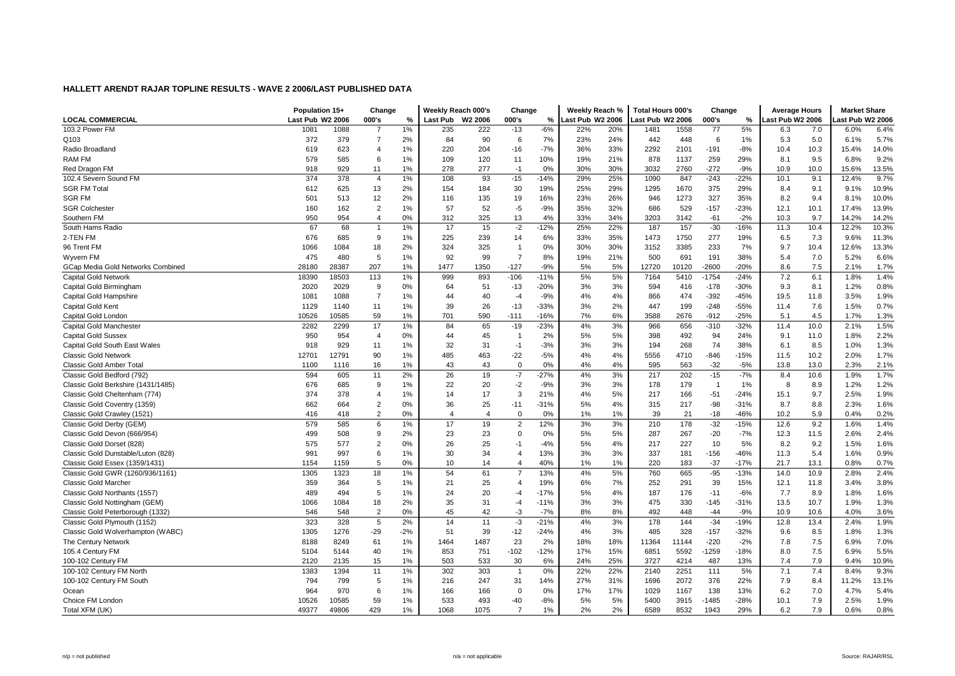|                                    | Population 15+   |       | Change         |       | Weekly Reach 000's |                     | Change         |        | Weekly Reach %   |     | <b>Total Hours 000's</b> |       | Change         |        | <b>Average Hours</b> |      | <b>Market Share</b> |       |
|------------------------------------|------------------|-------|----------------|-------|--------------------|---------------------|----------------|--------|------------------|-----|--------------------------|-------|----------------|--------|----------------------|------|---------------------|-------|
| <b>LOCAL COMMERCIAL</b>            | Last Pub W2 2006 |       | 000's          | %     | Last Pub           | W <sub>2</sub> 2006 | 000's          | %      | Last Pub W2 2006 |     | Last Pub W2 2006         |       | 000's          | %      | ast Pub W2 2006      |      | ast Pub W2 2006     |       |
| 103.2 Power FM                     | 1081             | 1088  | $\overline{7}$ | 1%    | 235                | 222                 | $-13$          | $-6%$  | 22%              | 20% | 1481                     | 1558  | 77             | 5%     | 6.3                  | 7.0  | 6.0%                | 6.4%  |
| Q103                               | 372              | 379   | $\overline{7}$ | 2%    | 84                 | 90                  | 6              | 7%     | 23%              | 24% | 442                      | 448   | 6              | 1%     | 5.3                  | 5.0  | 6.1%                | 5.7%  |
| Radio Broadlanc                    | 619              | 623   | $\overline{4}$ | 1%    | 220                | 204                 | $-16$          | $-7%$  | 36%              | 33% | 2292                     | 2101  | $-191$         | $-8%$  | 10.4                 | 10.3 | 15.4%               | 14.0% |
| RAM FM                             | 579              | 585   | 6              | 1%    | 109                | 120                 | 11             | 10%    | 19%              | 21% | 878                      | 1137  | 259            | 29%    | 8.1                  | 9.5  | 6.8%                | 9.2%  |
| Red Dragon FM                      | 918              | 929   | 11             | 1%    | 278                | 277                 | $-1$           | 0%     | 30%              | 30% | 3032                     | 2760  | $-272$         | $-9%$  | 10.9                 | 10.0 | 15.6%               | 13.5% |
| 102.4 Severn Sound FM              | 374              | 378   | $\overline{4}$ | 1%    | 108                | 93                  | $-15$          | $-14%$ | 29%              | 25% | 1090                     | 847   | $-243$         | $-22%$ | 10.1                 | 9.1  | 12.4%               | 9.7%  |
| <b>SGR FM Total</b>                | 612              | 625   | 13             | 2%    | 154                | 184                 | 30             | 19%    | 25%              | 29% | 1295                     | 1670  | 375            | 29%    | 8.4                  | 9.1  | 9.1%                | 10.9% |
| <b>SGR FM</b>                      | 501              | 513   | 12             | 2%    | 116                | 135                 | 19             | 16%    | 23%              | 26% | 946                      | 1273  | 327            | 35%    | 8.2                  | 9.4  | 8.1%                | 10.0% |
| <b>SGR Colchester</b>              | 160              | 162   | $\overline{2}$ | 1%    | 57                 | 52                  | -5             | $-9%$  | 35%              | 32% | 686                      | 529   | $-157$         | $-23%$ | 12.1                 | 10.1 | 17.4%               | 13.9% |
| Southern FM                        | 950              | 954   | $\overline{4}$ | 0%    | 312                | 325                 | 13             | 4%     | 33%              | 34% | 3203                     | 3142  | $-61$          | $-2%$  | 10.3                 | 9.7  | 14.2%               | 14.2% |
| South Hams Radio                   | 67               | 68    | $\mathbf{1}$   | 1%    | 17                 | 15                  | $-2$           | $-12%$ | 25%              | 22% | 187                      | 157   | $-30$          | $-16%$ | 11.3                 | 10.4 | 12.2%               | 10.3% |
| 2-TEN FM                           | 676              | 685   | 9              | 1%    | 225                | 239                 | 14             | 6%     | 33%              | 35% | 1473                     | 1750  | 277            | 19%    | 6.5                  | 7.3  | 9.6%                | 11.3% |
| 96 Trent FM                        | 1066             | 1084  | 18             | 2%    | 324                | 325                 | $\overline{1}$ | 0%     | 30%              | 30% | 3152                     | 3385  | 233            | 7%     | 9.7                  | 10.4 | 12.6%               | 13.3% |
| Wyvern FM                          | 475              | 480   | 5              | 1%    | 92                 | 99                  | $\overline{7}$ | 8%     | 19%              | 21% | 500                      | 691   | 191            | 38%    | 5.4                  | 7.0  | 5.2%                | 6.6%  |
| GCap Media Gold Networks Combined  | 28180            | 28387 | 207            | 1%    | 1477               | 1350                | $-127$         | $-9%$  | 5%               | 5%  | 12720                    | 10120 | $-2600$        | $-20%$ | 8.6                  | 7.5  | 2.1%                | 1.7%  |
| <b>Capital Gold Network</b>        | 18390            | 18503 | 113            | 1%    | 999                | 893                 | $-106$         | $-11%$ | 5%               | 5%  | 7164                     | 5410  | $-1754$        | $-24%$ | 7.2                  | 6.1  | 1.8%                | 1.4%  |
| Capital Gold Birmingham            | 2020             | 2029  | 9              | 0%    | 64                 | 51                  | $-13$          | $-20%$ | 3%               | 3%  | 594                      | 416   | $-178$         | $-30%$ | 9.3                  | 8.1  | 1.2%                | 0.8%  |
| Capital Gold Hampshire             | 1081             | 1088  | $\overline{7}$ | 1%    | 44                 | 40                  | $-4$           | $-9%$  | 4%               | 4%  | 866                      | 474   | $-392$         | $-45%$ | 19.5                 | 11.8 | 3.5%                | 1.9%  |
| Capital Gold Kent                  | 1129             | 1140  | 11             | 1%    | 39                 | 26                  | $-13$          | $-33%$ | 3%               | 2%  | 447                      | 199   | $-248$         | $-55%$ | 11.4                 | 7.6  | 1.5%                | 0.7%  |
| Capital Gold London                | 10526            | 10585 | 59             | 1%    | 701                | 590                 | $-111$         | $-16%$ | 7%               | 6%  | 3588                     | 2676  | $-912$         | $-25%$ | 5.1                  | 4.5  | 1.7%                | 1.3%  |
| Capital Gold Manchester            | 2282             | 2299  | 17             | 1%    | 84                 | 65                  | $-19$          | $-23%$ | 4%               | 3%  | 966                      | 656   | $-310$         | $-32%$ | 11.4                 | 10.0 | 2.1%                | 1.5%  |
| <b>Capital Gold Sussex</b>         | 950              | 954   | $\overline{4}$ | 0%    | 44                 | 45                  | $\overline{1}$ | 2%     | 5%               | 5%  | 398                      | 492   | 94             | 24%    | 9.1                  | 11.0 | 1.8%                | 2.2%  |
| Capital Gold South East Wales      | 918              | 929   | 11             | 1%    | 32                 | 31                  | $-1$           | $-3%$  | 3%               | 3%  | 194                      | 268   | 74             | 38%    | 6.1                  | 8.5  | 1.0%                | 1.3%  |
| <b>Classic Gold Network</b>        | 12701            | 12791 | 90             | 1%    | 485                | 463                 | $-22$          | $-5%$  | 4%               | 4%  | 5556                     | 4710  | $-846$         | $-15%$ | 11.5                 | 10.2 | 2.0%                | 1.7%  |
| Classic Gold Amber Total           | 1100             | 1116  | 16             | 1%    | 43                 | 43                  | $\mathbf 0$    | 0%     | 4%               | 4%  | 595                      | 563   | $-32$          | $-5%$  | 13.8                 | 13.0 | 2.3%                | 2.1%  |
| Classic Gold Bedford (792)         | 594              | 605   | 11             | 2%    | 26                 | 19                  | $-7$           | $-27%$ | 4%               | 3%  | 217                      | 202   | $-15$          | $-7%$  | 8.4                  | 10.6 | 1.9%                | 1.7%  |
| Classic Gold Berkshire (1431/1485) | 676              | 685   | 9              | 1%    | 22                 | 20                  | $-2$           | $-9%$  | 3%               | 3%  | 178                      | 179   | $\overline{1}$ | 1%     | 8                    | 8.9  | 1.2%                | 1.2%  |
| Classic Gold Cheltenham (774)      | 374              | 378   | $\overline{4}$ | 1%    | 14                 | 17                  | 3              | 21%    | 4%               | 5%  | 217                      | 166   | $-51$          | $-24%$ | 15.1                 | 9.7  | 2.5%                | 1.9%  |
| Classic Gold Coventry (1359)       | 662              | 664   | $\overline{2}$ | 0%    | 36                 | 25                  | $-11$          | $-31%$ | 5%               | 4%  | 315                      | 217   | $-98$          | $-31%$ | 8.7                  | 8.8  | 2.3%                | 1.6%  |
| Classic Gold Crawley (1521)        | 416              | 418   | $\overline{2}$ | 0%    | $\overline{4}$     | $\overline{4}$      | $\mathbf 0$    | 0%     | 1%               | 1%  | 39                       | 21    | $-18$          | $-46%$ | 10.2                 | 5.9  | 0.4%                | 0.2%  |
| Classic Gold Derby (GEM)           | 579              | 585   | 6              | 1%    | 17                 | 19                  | $\overline{2}$ | 12%    | 3%               | 3%  | 210                      | 178   | $-32$          | $-15%$ | 12.6                 | 9.2  | 1.6%                | 1.4%  |
| Classic Gold Devon (666/954)       | 499              | 508   | 9              | 2%    | 23                 | 23                  | $\mathbf 0$    | 0%     | 5%               | 5%  | 287                      | 267   | $-20$          | $-7%$  | 12.3                 | 11.5 | 2.6%                | 2.4%  |
| Classic Gold Dorset (828)          | 575              | 577   | $\overline{2}$ | 0%    | 26                 | 25                  | $-1$           | $-4%$  | 5%               | 4%  | 217                      | 227   | 10             | 5%     | 8.2                  | 9.2  | 1.5%                | 1.6%  |
| Classic Gold Dunstable/Luton (828) | 991              | 997   | 6              | 1%    | 30                 | 34                  | $\overline{4}$ | 13%    | 3%               | 3%  | 337                      | 181   | $-156$         | $-46%$ | 11.3                 | 5.4  | 1.6%                | 0.9%  |
| Classic Gold Essex (1359/1431)     | 1154             | 1159  | 5              | 0%    | 10                 | 14                  | $\overline{4}$ | 40%    | 1%               | 1%  | 220                      | 183   | $-37$          | $-17%$ | 21.7                 | 13.1 | 0.8%                | 0.7%  |
| Classic Gold GWR (1260/936/1161)   | 1305             | 1323  | 18             | 1%    | 54                 | 61                  | $\overline{7}$ | 13%    | 4%               | 5%  | 760                      | 665   | $-95$          | $-13%$ | 14.0                 | 10.9 | 2.8%                | 2.4%  |
| <b>Classic Gold Marcher</b>        | 359              | 364   | 5              | 1%    | 21                 | 25                  | $\overline{4}$ | 19%    | 6%               | 7%  | 252                      | 291   | 39             | 15%    | 12.1                 | 11.8 | 3.4%                | 3.8%  |
| Classic Gold Northants (1557)      | 489              | 494   | 5              | 1%    | 24                 | 20                  | $-4$           | $-17%$ | 5%               | 4%  | 187                      | 176   | $-11$          | $-6%$  | 7.7                  | 8.9  | 1.8%                | 1.6%  |
| Classic Gold Nottingham (GEM)      | 1066             | 1084  | 18             | 2%    | 35                 | 31                  | $-4$           | $-11%$ | 3%               | 3%  | 475                      | 330   | $-145$         | $-31%$ | 13.5                 | 10.7 | 1.9%                | 1.3%  |
| Classic Gold Peterborough (1332)   | 546              | 548   | $\overline{2}$ | 0%    | 45                 | 42                  | -3             | $-7%$  | 8%               | 8%  | 492                      | 448   | $-44$          | $-9%$  | 10.9                 | 10.6 | 4.0%                | 3.6%  |
| Classic Gold Plymouth (1152)       | 323              | 328   | 5              | 2%    | 14                 | 11                  | $-3$           | $-21%$ | 4%               | 3%  | 178                      | 144   | $-34$          | $-19%$ | 12.8                 | 13.4 | 2.4%                | 1.9%  |
| Classic Gold Wolverhampton (WABC)  | 1305             | 1276  | $-29$          | $-2%$ | 51                 | 39                  | $-12$          | $-24%$ | 4%               | 3%  | 485                      | 328   | $-157$         | $-32%$ | 9.6                  | 8.5  | 1.8%                | 1.3%  |
| The Century Network                | 8188             | 8249  | 61             | 1%    | 1464               | 1487                | 23             | 2%     | 18%              | 18% | 11364                    | 11144 | $-220$         | $-2%$  | 7.8                  | 7.5  | 6.9%                | 7.0%  |
| 105.4 Century FM                   | 5104             | 5144  | 40             | 1%    | 853                | 751                 | $-102$         | $-12%$ | 17%              | 15% | 6851                     | 5592  | $-1259$        | $-18%$ | 8.0                  | 7.5  | 6.9%                | 5.5%  |
| 100-102 Century FM                 | 2120             | 2135  | 15             | 1%    | 503                | 533                 | 30             | 6%     | 24%              | 25% | 3727                     | 4214  | 487            | 13%    | 7.4                  | 7.9  | 9.4%                | 10.9% |
| 100-102 Century FM North           | 1383             | 1394  | 11             | 1%    | 302                | 303                 | $\overline{1}$ | 0%     | 22%              | 22% | 2140                     | 2251  | 111            | 5%     | 7.1                  | 7.4  | 8.4%                | 9.3%  |
| 100-102 Century FM South           | 794              | 799   | 5              | 1%    | 216                | 247                 | 31             | 14%    | 27%              | 31% | 1696                     | 2072  | 376            | 22%    | 7.9                  | 8.4  | 11.2%               | 13.1% |
| Ocean                              | 964              | 970   | 6              | 1%    | 166                | 166                 | $\Omega$       | 0%     | 17%              | 17% | 1029                     | 1167  | 138            | 13%    | 6.2                  | 7.0  | 4.7%                | 5.4%  |
| Choice FM London                   | 10526            | 10585 | 59             | 1%    | 533                | 493                 | $-40$          | $-8%$  | 5%               | 5%  | 5400                     | 3915  | $-1485$        | $-28%$ | 10.1                 | 7.9  | 2.5%                | 1.9%  |
| Total XFM (UK)                     | 49377            | 49806 | 429            | 1%    | 1068               | 1075                | $\overline{7}$ | 1%     | 2%               | 2%  | 6589                     | 8532  | 1943           | 29%    | 6.2                  | 7.9  | 0.6%                | 0.8%  |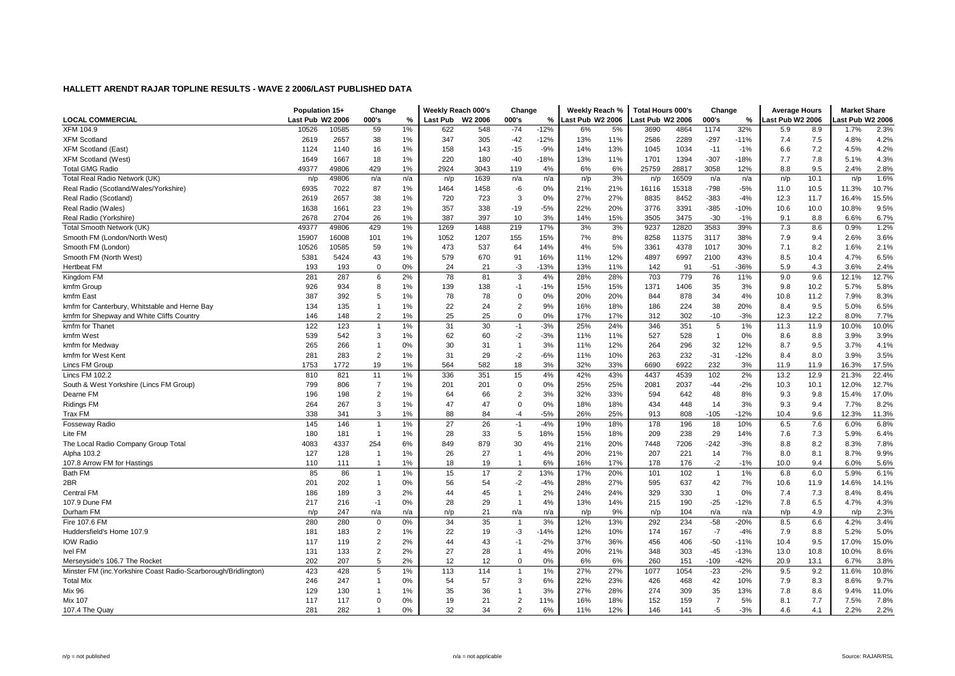|                                                                 | Population 15+   |       | Change         |       | Weekly Reach 000's |                     | Change         |        | Weekly Reach %   |     | <b>Total Hours 000's</b> |       | Change         |        | <b>Average Hours</b> |      | <b>Market Share</b> |       |
|-----------------------------------------------------------------|------------------|-------|----------------|-------|--------------------|---------------------|----------------|--------|------------------|-----|--------------------------|-------|----------------|--------|----------------------|------|---------------------|-------|
| <b>LOCAL COMMERCIAL</b>                                         | Last Pub W2 2006 |       | 000's          | %     | Last Pub           | W <sub>2</sub> 2006 | 000's          | %      | Last Pub W2 2006 |     | Last Pub W2 2006         |       | 000's          | %      | ast Pub W2 2006.     |      | ast Pub W2 2006     |       |
| <b>XFM 104.9</b>                                                | 10526            | 10585 | 59             | 1%    | 622                | 548                 | $-74$          | $-12%$ | 6%               | 5%  | 3690                     | 4864  | 1174           | 32%    | 5.9                  | 8.9  | 1.7%                | 2.3%  |
| <b>XFM Scotland</b>                                             | 2619             | 2657  | 38             | 1%    | 347                | 305                 | $-42$          | $-12%$ | 13%              | 11% | 2586                     | 2289  | $-297$         | $-11%$ | 7.4                  | 7.5  | 4.8%                | 4.2%  |
| <b>XFM Scotland (East)</b>                                      | 1124             | 1140  | 16             | 1%    | 158                | 143                 | $-15$          | $-9%$  | 14%              | 13% | 1045                     | 1034  | $-11$          | $-1%$  | 6.6                  | 7.2  | 4.5%                | 4.2%  |
| <b>XFM Scotland (West)</b>                                      | 1649             | 1667  | 18             | 1%    | 220                | 180                 | $-40$          | $-18%$ | 13%              | 11% | 1701                     | 1394  | $-307$         | $-18%$ | 7.7                  | 7.8  | 5.1%                | 4.3%  |
| <b>Total GMG Radio</b>                                          | 49377            | 49806 | 429            | 1%    | 2924               | 3043                | 119            | 4%     | 6%               | 6%  | 25759                    | 28817 | 3058           | 12%    | 8.8                  | 9.5  | 2.4%                | 2.8%  |
| Total Real Radio Network (UK)                                   | n/p              | 49806 | n/a            | n/a   | n/p                | 1639                | n/a            | n/a    | n/p              | 3%  | n/p                      | 16509 | n/a            | n/a    | n/p                  | 10.1 | n/p                 | 1.6%  |
| Real Radio (Scotland/Wales/Yorkshire)                           | 6935             | 7022  | 87             | 1%    | 1464               | 1458                | -6             | 0%     | 21%              | 21% | 16116                    | 15318 | $-798$         | $-5%$  | 11.0                 | 10.5 | 11.3%               | 10.7% |
| Real Radio (Scotland)                                           | 2619             | 2657  | 38             | 1%    | 720                | 723                 | 3              | 0%     | 27%              | 27% | 8835                     | 8452  | $-383$         | $-4%$  | 12.3                 | 11.7 | 16.4%               | 15.5% |
| Real Radio (Wales)                                              | 1638             | 1661  | 23             | 1%    | 357                | 338                 | $-19$          | $-5%$  | 22%              | 20% | 3776                     | 3391  | $-385$         | $-10%$ | 10.6                 | 10.0 | 10.8%               | 9.5%  |
| Real Radio (Yorkshire)                                          | 2678             | 2704  | 26             | 1%    | 387                | 397                 | 10             | 3%     | 14%              | 15% | 3505                     | 3475  | $-30$          | $-1%$  | 9.1                  | 8.8  | 6.6%                | 6.7%  |
| Total Smooth Network (UK)                                       | 49377            | 49806 | 429            | 1%    | 1269               | 1488                | 219            | 17%    | 3%               | 3%  | 9237                     | 12820 | 3583           | 39%    | 7.3                  | 8.6  | 0.9%                | 1.2%  |
| Smooth FM (London/North West)                                   | 15907            | 16008 | 101            | 1%    | 1052               | 1207                | 155            | 15%    | 7%               | 8%  | 8258                     | 11375 | 3117           | 38%    | 7.9                  | 9.4  | 2.6%                | 3.6%  |
| Smooth FM (London)                                              | 10526            | 10585 | 59             | 1%    | 473                | 537                 | 64             | 14%    | 4%               | 5%  | 3361                     | 4378  | 1017           | 30%    | 7.1                  | 8.2  | 1.6%                | 2.1%  |
| Smooth FM (North West)                                          | 5381             | 5424  | 43             | 1%    | 579                | 670                 | 91             | 16%    | 11%              | 12% | 4897                     | 6997  | 2100           | 43%    | 8.5                  | 10.4 | 4.7%                | 6.5%  |
| <b>Hertbeat FM</b>                                              | 193              | 193   | 0              | 0%    | 24                 | 21                  | -3             | $-13%$ | 13%              | 11% | 142                      | 91    | $-51$          | -36%   | 5.9                  | 4.3  | 3.6%                | 2.4%  |
| Kingdom FM                                                      | 281              | 287   | 6              | 2%    | 78                 | 81                  | 3              | 4%     | 28%              | 28% | 703                      | 779   | 76             | 11%    | 9.0                  | 9.6  | 12.1%               | 12.7% |
| kmfm Group                                                      | 926              | 934   | 8              | 1%    | 139                | 138                 | $-1$           | $-1%$  | 15%              | 15% | 1371                     | 1406  | 35             | 3%     | 9.8                  | 10.2 | 5.7%                | 5.8%  |
| kmfm East                                                       | 387              | 392   | 5              | 1%    | 78                 | 78                  | $\mathbf 0$    | 0%     | 20%              | 20% | 844                      | 878   | 34             | 4%     | 10.8                 | 11.2 | 7.9%                | 8.3%  |
| kmfm for Canterbury, Whitstable and Herne Bay                   | 134              | 135   | $\mathbf{1}$   | 1%    | 22                 | 24                  | $\overline{2}$ | 9%     | 16%              | 18% | 186                      | 224   | 38             | 20%    | 8.4                  | 9.5  | 5.0%                | 6.5%  |
| kmfm for Shepway and White Cliffs Country                       | 146              | 148   | $\overline{2}$ | 1%    | 25                 | 25                  | $\mathbf 0$    | 0%     | 17%              | 17% | 312                      | 302   | $-10$          | $-3%$  | 12.3                 | 12.2 | 8.0%                | 7.7%  |
| kmfm for Thanet                                                 | 122              | 123   | $\overline{1}$ | $1\%$ | 31                 | 30                  | $-1$           | $-3%$  | 25%              | 24% | 346                      | 351   | 5              | 1%     | 11.3                 | 11.9 | 10.0%               | 10.0% |
| kmfm West                                                       | 539              | 542   | 3              | 1%    | 62                 | 60                  | $-2$           | $-3%$  | 11%              | 11% | 527                      | 528   | $\overline{1}$ | 0%     | 8.6                  | 8.8  | 3.9%                | 3.9%  |
| kmfm for Medway                                                 | 265              | 266   | $\overline{1}$ | 0%    | 30                 | 31                  | $\overline{1}$ | 3%     | 11%              | 12% | 264                      | 296   | 32             | 12%    | 8.7                  | 9.5  | 3.7%                | 4.1%  |
| kmfm for West Kent                                              | 281              | 283   | $\overline{2}$ | 1%    | 31                 | 29                  | $-2$           | $-6%$  | 11%              | 10% | 263                      | 232   | $-31$          | $-12%$ | 8.4                  | 8.0  | 3.9%                | 3.5%  |
| Lincs FM Group                                                  | 1753             | 1772  | 19             | 1%    | 564                | 582                 | 18             | 3%     | 32%              | 33% | 6690                     | 6922  | 232            | 3%     | 11.9                 | 11.9 | 16.3%               | 17.5% |
| <b>Lincs FM 102.2</b>                                           | 810              | 821   | 11             | 1%    | 336                | 351                 | 15             | 4%     | 42%              | 43% | 4437                     | 4539  | 102            | 2%     | 13.2                 | 12.9 | 21.3%               | 22.4% |
| South & West Yorkshire (Lincs FM Group)                         | 799              | 806   | $\overline{7}$ | 1%    | 201                | 201                 | $\mathbf 0$    | 0%     | 25%              | 25% | 2081                     | 2037  | $-44$          | $-2%$  | 10.3                 | 10.1 | 12.0%               | 12.7% |
| Dearne FM                                                       | 196              | 198   | $\overline{2}$ | 1%    | 64                 | 66                  | $\overline{2}$ | 3%     | 32%              | 33% | 594                      | 642   | 48             | 8%     | 9.3                  | 9.8  | 15.4%               | 17.0% |
| <b>Ridings FM</b>                                               | 264              | 267   | 3              | 1%    | 47                 | 47                  | $\Omega$       | 0%     | 18%              | 18% | 434                      | 448   | 14             | 3%     | 9.3                  | 9.4  | 7.7%                | 8.2%  |
| Trax FM                                                         | 338              | 341   | 3              | 1%    | 88                 | 84                  | -4             | $-5%$  | 26%              | 25% | 913                      | 808   | $-105$         | $-12%$ | 10.4                 | 9.6  | 12.3%               | 11.3% |
| Fosseway Radio                                                  | 145              | 146   | $\overline{1}$ | 1%    | 27                 | 26                  | $-1$           | $-4%$  | 19%              | 18% | 178                      | 196   | 18             | 10%    | 6.5                  | 7.6  | 6.0%                | 6.8%  |
| Lite FM                                                         | 180              | 181   | $\overline{1}$ | 1%    | 28                 | 33                  | 5              | 18%    | 15%              | 18% | 209                      | 238   | 29             | 14%    | 7.6                  | 7.3  | 5.9%                | 6.4%  |
| The Local Radio Company Group Total                             | 4083             | 4337  | 254            | 6%    | 849                | 879                 | 30             | 4%     | 21%              | 20% | 7448                     | 7206  | $-242$         | $-3%$  | 8.8                  | 8.2  | 8.3%                | 7.8%  |
| Alpha 103.2                                                     | 127              | 128   | $\overline{1}$ | 1%    | 26                 | 27                  | $\overline{1}$ | 4%     | 20%              | 21% | 207                      | 221   | 14             | 7%     | 8.0                  | 8.1  | 8.7%                | 9.9%  |
| 107.8 Arrow FM for Hastings                                     | 110              | 111   | $\overline{1}$ | 1%    | 18                 | 19                  | $\overline{1}$ | 6%     | 16%              | 17% | 178                      | 176   | $-2$           | $-1%$  | 10.0                 | 9.4  | 6.0%                | 5.6%  |
| Bath FM                                                         | 85               | 86    | $\overline{1}$ | 1%    | 15                 | 17                  | $\overline{2}$ | 13%    | 17%              | 20% | 101                      | 102   | $\overline{1}$ | 1%     | 6.8                  | 6.0  | 5.9%                | 6.1%  |
| 2BR                                                             | 201              | 202   | $\mathbf{1}$   | 0%    | 56                 | 54                  | $-2$           | $-4%$  | 28%              | 27% | 595                      | 637   | 42             | 7%     | 10.6                 | 11.9 | 14.6%               | 14.1% |
| <b>Central FM</b>                                               | 186              | 189   | 3              | 2%    | 44                 | 45                  | $\overline{1}$ | 2%     | 24%              | 24% | 329                      | 330   | $\overline{1}$ | 0%     | 7.4                  | 7.3  | 8.4%                | 8.4%  |
| 107.9 Dune FM                                                   | 217              | 216   | $-1$           | 0%    | 28                 | 29                  | $\overline{1}$ | 4%     | 13%              | 14% | 215                      | 190   | $-25$          | $-12%$ | 7.8                  | 6.5  | 4.7%                | 4.3%  |
| Durham FM                                                       | n/p              | 247   | n/a            | n/a   | n/p                | 21                  | n/a            | n/a    | n/p              | 9%  | n/p                      | 104   | n/a            | n/a    | n/p                  | 4.9  | n/p                 | 2.3%  |
| Fire 107.6 FM                                                   | 280              | 280   | $\mathbf 0$    | 0%    | 34                 | 35                  | -1             | 3%     | 12%              | 13% | 292                      | 234   | $-58$          | $-20%$ | 8.5                  | 6.6  | 4.2%                | 3.4%  |
| Huddersfield's Home 107.9                                       | 181              | 183   | $\overline{2}$ | 1%    | 22                 | 19                  | -3             | $-14%$ | 12%              | 10% | 174                      | 167   | $-7$           | $-4%$  | 7.9                  | 8.8  | 5.2%                | 5.0%  |
| <b>IOW Radio</b>                                                | 117              | 119   | $\overline{2}$ | 2%    | 44                 | 43                  | -1             | $-2%$  | 37%              | 36% | 456                      | 406   | $-50$          | $-11%$ | 10.4                 | 9.5  | 17.0%               | 15.0% |
| Ivel FM                                                         | 131              | 133   | $\overline{2}$ | 2%    | 27                 | 28                  | $\overline{1}$ | 4%     | 20%              | 21% | 348                      | 303   | $-45$          | $-13%$ | 13.0                 | 10.8 | 10.0%               | 8.6%  |
| Merseyside's 106.7 The Rocket                                   | 202              | 207   | 5              | 2%    | 12                 | 12                  | $\mathbf 0$    | 0%     | 6%               | 6%  | 260                      | 151   | $-109$         | $-42%$ | 20.9                 | 13.1 | 6.7%                | 3.8%  |
| Minster FM (inc. Yorkshire Coast Radio-Scarborough/Bridlington) | 423              | 428   | 5              | 1%    | 113                | 114                 | -1             | 1%     | 27%              | 27% | 1077                     | 1054  | $-23$          | $-2%$  | 9.5                  | 9.2  | 11.6%               | 10.8% |
| <b>Total Mix</b>                                                | 246              | 247   | $\mathbf{1}$   | 0%    | 54                 | 57                  | 3              | 6%     | 22%              | 23% | 426                      | 468   | 42             | 10%    | 7.9                  | 8.3  | 8.6%                | 9.7%  |
| <b>Mix 96</b>                                                   | 129              | 130   | $\mathbf 1$    | 1%    | 35                 | 36                  | $\overline{1}$ | 3%     | 27%              | 28% | 274                      | 309   | 35             | 13%    | 7.8                  | 8.6  | 9.4%                | 11.0% |
| <b>Mix 107</b>                                                  | 117              | 117   | 0              | 0%    | 19                 | 21                  | $\overline{2}$ | 11%    | 16%              | 18% | 152                      | 159   | $\overline{7}$ | 5%     | 8.1                  | 7.7  | 7.5%                | 7.8%  |
| 107.4 The Quay                                                  | 281              | 282   | $\overline{1}$ | 0%    | 32                 | 34                  | $\overline{2}$ | 6%     | 11%              | 12% | 146                      | 141   | $-5$           | $-3%$  | 4.6                  | 4.1  | 2.2%                | 2.2%  |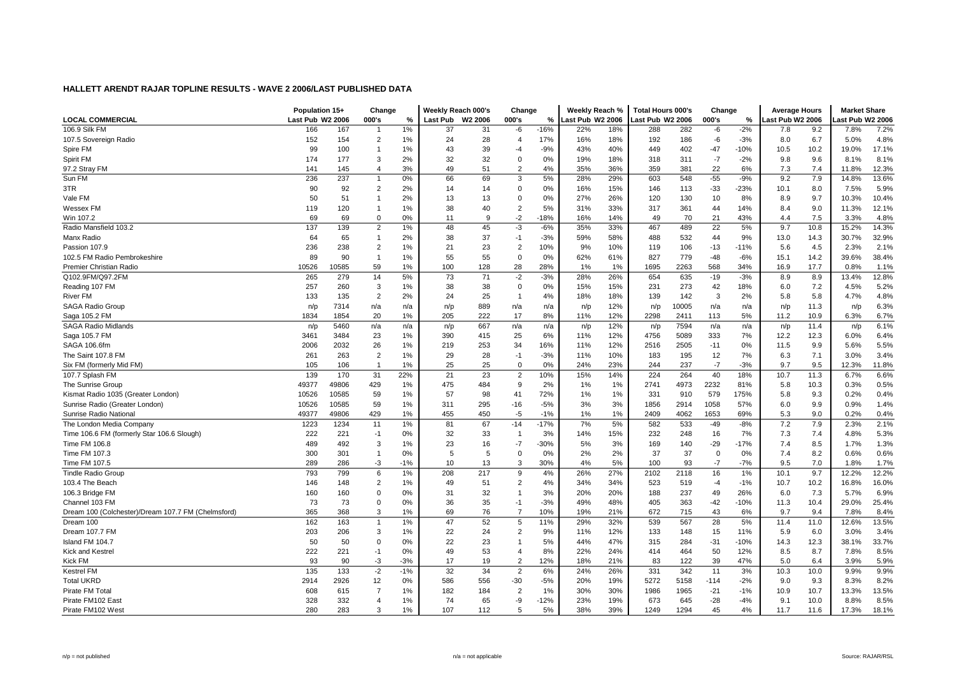|                                                    | Population 15+   |       | Change         |       | Weekly Reach 000's |         | Change         |        | Weekly Reach %   |     | <b>Total Hours 000's</b> |       | Change      |        | <b>Average Hours</b> |      | <b>Market Share</b> |       |
|----------------------------------------------------|------------------|-------|----------------|-------|--------------------|---------|----------------|--------|------------------|-----|--------------------------|-------|-------------|--------|----------------------|------|---------------------|-------|
| <b>LOCAL COMMERCIAL</b>                            | Last Pub W2 2006 |       | 000's          | %     | <b>Last Pub</b>    | W2 2006 | 000's          | %      | Last Pub W2 2006 |     | Last Pub W2 2006         |       | 000's       | %      | ast Pub W2 2006      |      | ast Pub W2 2006     |       |
| 106.9 Silk FM                                      | 166              | 167   | -1             | 1%    | 37                 | 31      | -6             | $-16%$ | 22%              | 18% | 288                      | 282   | -6          | $-2%$  | 7.8                  | 9.2  | 7.8%                | 7.2%  |
| 107.5 Sovereign Radio                              | 152              | 154   | $\overline{2}$ | 1%    | 24                 | 28      | $\overline{4}$ | 17%    | 16%              | 18% | 192                      | 186   | -6          | $-3%$  | 8.0                  | 6.7  | 5.0%                | 4.8%  |
| Spire FM                                           | 99               | 100   | $\mathbf{1}$   | 1%    | 43                 | 39      | $-4$           | $-9%$  | 43%              | 40% | 449                      | 402   | $-47$       | $-10%$ | 10.5                 | 10.2 | 19.0%               | 17.1% |
| Spirit FM                                          | 174              | 177   | 3              | 2%    | 32                 | 32      | $\overline{0}$ | 0%     | 19%              | 18% | 318                      | 311   | $-7$        | $-2%$  | 9.8                  | 9.6  | 8.1%                | 8.1%  |
| 97.2 Stray FM                                      | 141              | 145   | $\overline{4}$ | 3%    | 49                 | 51      | $\overline{2}$ | 4%     | 35%              | 36% | 359                      | 381   | 22          | 6%     | 7.3                  | 7.4  | 11.8%               | 12.3% |
| Sun FM                                             | 236              | 237   | $\mathbf{1}$   | 0%    | 66                 | 69      | 3              | 5%     | 28%              | 29% | 603                      | 548   | $-55$       | $-9%$  | 9.2                  | 7.9  | 14.8%               | 13.6% |
| 3TR                                                | 90               | 92    | $\overline{2}$ | 2%    | 14                 | 14      | $\mathbf 0$    | 0%     | 16%              | 15% | 146                      | 113   | $-33$       | $-23%$ | 10.1                 | 8.0  | 7.5%                | 5.9%  |
| Vale FM                                            | 50               | 51    | $\mathbf{1}$   | 2%    | 13                 | 13      | $\mathbf 0$    | 0%     | 27%              | 26% | 120                      | 130   | 10          | 8%     | 8.9                  | 9.7  | 10.3%               | 10.4% |
| <b>Wessex FM</b>                                   | 119              | 120   | $\mathbf{1}$   | 1%    | 38                 | 40      | $\overline{2}$ | 5%     | 31%              | 33% | 317                      | 361   | 44          | 14%    | 8.4                  | 9.0  | 11.3%               | 12.1% |
| Win 107.2                                          | 69               | 69    | $\mathbf 0$    | 0%    | 11                 | 9       | $-2$           | $-18%$ | 16%              | 14% | 49                       | 70    | 21          | 43%    | 4.4                  | 7.5  | 3.3%                | 4.8%  |
| Radio Mansfield 103.2                              | 137              | 139   | $\overline{2}$ | 1%    | 48                 | 45      | $-3$           | $-6%$  | 35%              | 33% | 467                      | 489   | 22          | 5%     | 9.7                  | 10.8 | 15.2%               | 14.3% |
| Manx Radio                                         | 64               | 65    | $\mathbf{1}$   | 2%    | 38                 | 37      | $-1$           | $-3%$  | 59%              | 58% | 488                      | 532   | 44          | 9%     | 13.0                 | 14.3 | 30.7%               | 32.9% |
| Passion 107.9                                      | 236              | 238   | 2              | 1%    | 21                 | 23      | $\overline{2}$ | 10%    | 9%               | 10% | 119                      | 106   | $-13$       | $-11%$ | 5.6                  | 4.5  | 2.3%                | 2.1%  |
| 102.5 FM Radio Pembrokeshire                       | 89               | 90    | $\mathbf{1}$   | 1%    | 55                 | 55      | $\mathbf 0$    | 0%     | 62%              | 61% | 827                      | 779   | $-48$       | $-6%$  | 15.1                 | 14.2 | 39.6%               | 38.4% |
| Premier Christian Radio                            | 10526            | 10585 | 59             | 1%    | 100                | 128     | 28             | 28%    | 1%               | 1%  | 1695                     | 2263  | 568         | 34%    | 16.9                 | 17.7 | 0.8%                | 1.1%  |
| Q102.9FM/Q97.2FM                                   | 265              | 279   | 14             | 5%    | 73                 | 71      | $-2$           | $-3%$  | 28%              | 26% | 654                      | 635   | $-19$       | $-3%$  | 8.9                  | 8.9  | 13.4%               | 12.8% |
| Reading 107 FM                                     | 257              | 260   | 3              | 1%    | 38                 | 38      | $\mathbf 0$    | 0%     | 15%              | 15% | 231                      | 273   | 42          | 18%    | 6.0                  | 7.2  | 4.5%                | 5.2%  |
| River FM                                           | 133              | 135   | $\overline{2}$ | 2%    | 24                 | 25      | $\overline{1}$ | 4%     | 18%              | 18% | 139                      | 142   | 3           | 2%     | 5.8                  | 5.8  | 4.7%                | 4.8%  |
| SAGA Radio Group                                   | n/p              | 7314  | n/a            | n/a   | n/p                | 889     | n/a            | n/a    | n/p              | 12% | n/p                      | 10005 | n/a         | n/a    | n/p                  | 11.3 | n/p                 | 6.3%  |
| Saga 105.2 FM                                      | 1834             | 1854  | 20             | 1%    | 205                | 222     | 17             | 8%     | 11%              | 12% | 2298                     | 2411  | 113         | 5%     | 11.2                 | 10.9 | 6.3%                | 6.7%  |
| <b>SAGA Radio Midlands</b>                         | n/p              | 5460  | n/a            | n/a   | n/p                | 667     | n/a            | n/a    | n/p              | 12% | n/p                      | 7594  | n/a         | n/a    | n/p                  | 11.4 | n/p                 | 6.1%  |
| Saga 105.7 FM                                      | 3461             | 3484  | 23             | 1%    | 390                | 415     | 25             | 6%     | 11%              | 12% | 4756                     | 5089  | 333         | 7%     | 12.2                 | 12.3 | 6.0%                | 6.4%  |
| SAGA 106.6fm                                       | 2006             | 2032  | 26             | 1%    | 219                | 253     | 34             | 16%    | 11%              | 12% | 2516                     | 2505  | $-11$       | $0\%$  | 11.5                 | 9.9  | 5.6%                | 5.5%  |
| The Saint 107.8 FM                                 | 261              | 263   | 2              | 1%    | 29                 | 28      | -1             | $-3%$  | 11%              | 10% | 183                      | 195   | 12          | 7%     | 6.3                  | 7.1  | 3.0%                | 3.4%  |
| Six FM (formerly Mid FM)                           | 105              | 106   | $\overline{1}$ | 1%    | 25                 | 25      | $\mathbf 0$    | 0%     | 24%              | 23% | 244                      | 237   | $-7$        | $-3%$  | 9.7                  | 9.5  | 12.3%               | 11.8% |
| 107.7 Splash FM                                    | 139              | 170   | 31             | 22%   | 21                 | 23      | $\overline{2}$ | 10%    | 15%              | 14% | 224                      | 264   | 40          | 18%    | 10.7                 | 11.3 | 6.7%                | 6.6%  |
| The Sunrise Group                                  | 49377            | 49806 | 429            | 1%    | 475                | 484     | 9              | 2%     | 1%               | 1%  | 2741                     | 4973  | 2232        | 81%    | 5.8                  | 10.3 | 0.3%                | 0.5%  |
| Kismat Radio 1035 (Greater London)                 | 10526            | 10585 | 59             | 1%    | 57                 | 98      | 41             | 72%    | 1%               | 1%  | 331                      | 910   | 579         | 175%   | 5.8                  | 9.3  | 0.2%                | 0.4%  |
| Sunrise Radio (Greater London)                     | 10526            | 10585 | 59             | 1%    | 311                | 295     | $-16$          | $-5%$  | 3%               | 3%  | 1856                     | 2914  | 1058        | 57%    | 6.0                  | 9.9  | 0.9%                | 1.4%  |
| Sunrise Radio National                             | 49377            | 49806 | 429            | 1%    | 455                | 450     | -5             | $-1%$  | 1%               | 1%  | 2409                     | 4062  | 1653        | 69%    | 5.3                  | 9.0  | 0.2%                | 0.4%  |
| The London Media Company                           | 1223             | 1234  | 11             | 1%    | 81                 | 67      | $-14$          | $-17%$ | 7%               | 5%  | 582                      | 533   | $-49$       | $-8%$  | 7.2                  | 7.9  | 2.3%                | 2.1%  |
| Time 106.6 FM (formerly Star 106.6 Slough)         | 222              | 221   | $-1$           | 0%    | 32                 | 33      | $\overline{1}$ | 3%     | 14%              | 15% | 232                      | 248   | 16          | 7%     | 7.3                  | 7.4  | 4.8%                | 5.3%  |
| Time FM 106.8                                      | 489              | 492   | 3              | 1%    | 23                 | 16      | $-7$           | $-30%$ | 5%               | 3%  | 169                      | 140   | $-29$       | $-17%$ | 7.4                  | 8.5  | 1.7%                | 1.3%  |
| Time FM 107.3                                      | 300              | 301   | $\mathbf{1}$   | 0%    | 5                  | 5       | $\overline{0}$ | 0%     | 2%               | 2%  | 37                       | 37    | $\mathbf 0$ | $0\%$  | 7.4                  | 8.2  | 0.6%                | 0.6%  |
| Time FM 107.5                                      | 289              | 286   | $-3$           | $-1%$ | 10                 | 13      | 3              | 30%    | 4%               | 5%  | 100                      | 93    | $-7$        | $-7%$  | 9.5                  | 7.0  | 1.8%                | 1.7%  |
| <b>Tindle Radio Group</b>                          | 793              | 799   | 6              | 1%    | 208                | 217     | 9              | 4%     | 26%              | 27% | 2102                     | 2118  | 16          | 1%     | 10.1                 | 9.7  | 12.2%               | 12.2% |
| 103.4 The Beach                                    | 146              | 148   | $\overline{2}$ | 1%    | 49                 | 51      | $\overline{2}$ | 4%     | 34%              | 34% | 523                      | 519   | $-4$        | $-1%$  | 10.7                 | 10.2 | 16.8%               | 16.0% |
| 106.3 Bridge FM                                    | 160              | 160   | $\Omega$       | 0%    | 31                 | 32      | $\overline{1}$ | 3%     | 20%              | 20% | 188                      | 237   | 49          | 26%    | 6.0                  | 7.3  | 5.7%                | 6.9%  |
| Channel 103 FM                                     | 73               | 73    | $\mathbf 0$    | 0%    | 36                 | 35      | $-1$           | $-3%$  | 49%              | 48% | 405                      | 363   | $-42$       | $-10%$ | 11.3                 | 10.4 | 29.0%               | 25.4% |
| Dream 100 (Colchester)/Dream 107.7 FM (Chelmsford) | 365              | 368   | 3              | 1%    | 69                 | 76      | $\overline{7}$ | 10%    | 19%              | 21% | 672                      | 715   | 43          | 6%     | 9.7                  | 9.4  | 7.8%                | 8.4%  |
| Dream 100                                          | 162              | 163   | $\mathbf{1}$   | 1%    | 47                 | 52      | 5              | 11%    | 29%              | 32% | 539                      | 567   | 28          | 5%     | 11.4                 | 11.0 | 12.6%               | 13.5% |
| Dream 107.7 FM                                     | 203              | 206   | 3              | 1%    | 22                 | 24      | $\overline{2}$ | 9%     | 11%              | 12% | 133                      | 148   | 15          | 11%    | 5.9                  | 6.0  | 3.0%                | 3.4%  |
| Island FM 104.7                                    | 50               | 50    | $\mathbf 0$    | 0%    | 22                 | 23      | $\overline{1}$ | 5%     | 44%              | 47% | 315                      | 284   | $-31$       | $-10%$ | 14.3                 | 12.3 | 38.1%               | 33.7% |
| <b>Kick and Kestrel</b>                            | 222              | 221   | $-1$           | 0%    | 49                 | 53      | $\overline{4}$ | 8%     | 22%              | 24% | 414                      | 464   | 50          | 12%    | 8.5                  | 8.7  | 7.8%                | 8.5%  |
| <b>Kick FM</b>                                     | 93               | 90    | $-3$           | $-3%$ | 17                 | 19      | $\overline{2}$ | 12%    | 18%              | 21% | 83                       | 122   | 39          | 47%    | 5.0                  | 6.4  | 3.9%                | 5.9%  |
| <b>Kestrel FM</b>                                  | 135              | 133   | $-2$           | $-1%$ | 32                 | 34      | $\overline{2}$ | 6%     | 24%              | 26% | 331                      | 342   | 11          | 3%     | 10.3                 | 10.0 | 9.9%                | 9.9%  |
| <b>Total UKRD</b>                                  | 2914             | 2926  | 12             | 0%    | 586                | 556     | $-30$          | $-5%$  | 20%              | 19% | 5272                     | 5158  | $-114$      | $-2%$  | 9.0                  | 9.3  | 8.3%                | 8.2%  |
| Pirate FM Tota                                     | 608              | 615   | $\overline{7}$ | 1%    | 182                | 184     | $\overline{2}$ | 1%     | 30%              | 30% | 1986                     | 1965  | $-21$       | $-1%$  | 10.9                 | 10.7 | 13.3%               | 13.5% |
| Pirate FM102 East                                  | 328              | 332   | $\overline{4}$ | 1%    | 74                 | 65      | -9             | $-12%$ | 23%              | 19% | 673                      | 645   | $-28$       | $-4%$  | 9.1                  | 10.0 | 8.8%                | 8.5%  |
| Pirate FM102 West                                  | 280              | 283   | 3              | 1%    | 107                | 112     | 5              | 5%     | 38%              | 39% | 1249                     | 1294  | 45          | 4%     | 11.7                 | 11.6 | 17.3%               | 18.1% |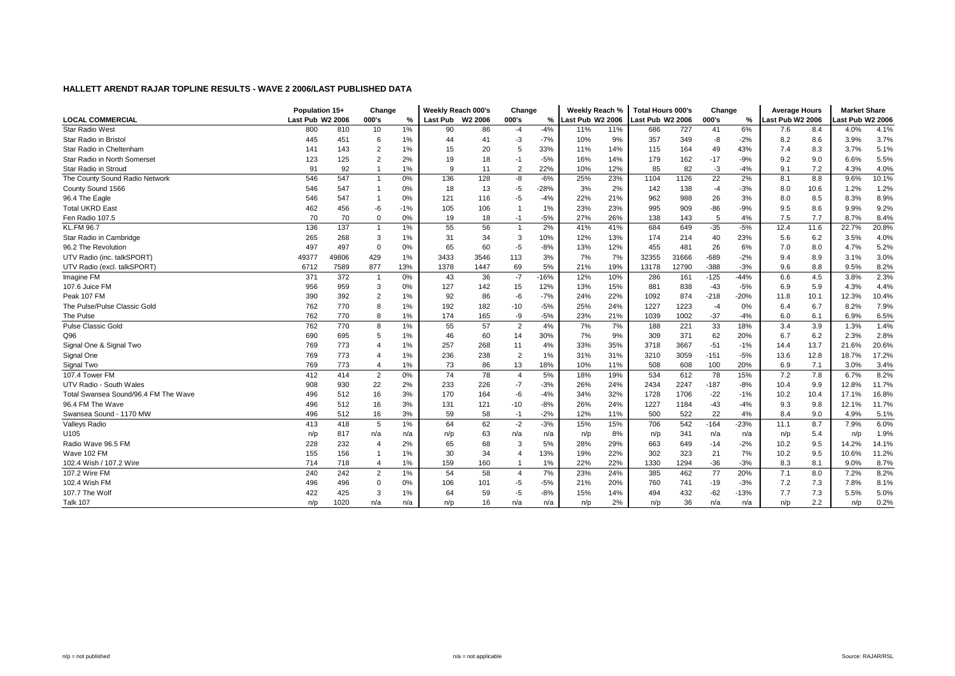|                                      | Population 15+   |       | Change         |       | Weekly Reach 000's |         | Change         |               | Weekly Reach %   |     | Total Hours 000's |       | Change |        | <b>Average Hours</b> |                  | <b>Market Share</b> |       |
|--------------------------------------|------------------|-------|----------------|-------|--------------------|---------|----------------|---------------|------------------|-----|-------------------|-------|--------|--------|----------------------|------------------|---------------------|-------|
| <b>LOCAL COMMERCIAL</b>              | Last Pub W2 2006 |       | 000's          | %     | Last Pub           | W2 2006 | 000's          | $\frac{9}{6}$ | Last Pub W2 2006 |     | Last Pub W2 2006  |       | 000's  | %      | Last Pub W2 2006     |                  | ast Pub W2 2006.    |       |
| <b>Star Radio West</b>               | 800              | 810   | 10             | 1%    | 90                 | 86      | $-4$           | $-4%$         | 11%              | 11% | 686               | 727   | 41     | 6%     | 7.6                  | 8.4              | 4.0%                | 4.1%  |
| Star Radio in Bristol                | 445              | 451   | 6              | 1%    | 44                 | 41      | -3             | $-7%$         | 10%              | 9%  | 357               | 349   | -8     | $-2%$  | 8.2                  | 8.6              | 3.9%                | 3.7%  |
| Star Radio in Cheltenham             | 141              | 143   | $\overline{2}$ | 1%    | 15                 | 20      | 5              | 33%           | 11%              | 14% | 115               | 164   | 49     | 43%    | 7.4                  | 8.3              | 3.7%                | 5.1%  |
| Star Radio in North Somerset         | 123              | 125   | $\overline{2}$ | 2%    | 19                 | 18      | $-1$           | $-5%$         | 16%              | 14% | 179               | 162   | $-17$  | $-9%$  | 9.2                  | 9.0              | 6.6%                | 5.5%  |
| Star Radio in Stroud                 | 91               | 92    | $\overline{1}$ | 1%    | $\mathbf{Q}$       | 11      | $\overline{2}$ | 22%           | 10%              | 12% | 85                | 82    | $-3$   | -4%    | 9.1                  | 7.2              | 4.3%                | 4.0%  |
| The County Sound Radio Network       | 546              | 547   | $\overline{1}$ | 0%    | 136                | 128     | -8             | $-6%$         | 25%              | 23% | 1104              | 1126  | 22     | 2%     | 8.1                  | 8.8              | 9.6%                | 10.1% |
| County Sound 1566                    | 546              | 547   | $\overline{1}$ | 0%    | 18                 | 13      | $-5$           | $-28%$        | 3%               | 2%  | 142               | 138   | $-4$   | $-3%$  | 8.0                  | 10.6             | 1.2%                | 1.2%  |
| 96.4 The Eagle                       | 546              | 547   | $\overline{1}$ | 0%    | 121                | 116     | $-5$           | $-4%$         | 22%              | 21% | 962               | 988   | 26     | 3%     | 8.0                  | 8.5              | 8.3%                | 8.9%  |
| <b>Total UKRD East</b>               | 462              | 456   | -6             | $-1%$ | 105                | 106     |                | 1%            | 23%              | 23% | 995               | 909   | $-86$  | $-9%$  | 9.5                  | 8.6              | 9.9%                | 9.2%  |
| Fen Radio 107.5                      | 70               | 70    | $\mathbf 0$    | 0%    | 19                 | 18      | -1             | $-5%$         | 27%              | 26% | 138               | 143   | 5      | 4%     | 7.5                  | 7.7              | 8.7%                | 8.4%  |
| <b>KL.FM 96.7</b>                    | 136              | 137   | $\overline{1}$ | 1%    | 55                 | 56      | $\overline{1}$ | 2%            | 41%              | 41% | 684               | 649   | $-35$  | $-5%$  | 12.4                 | 11.6             | 22.7%               | 20.8% |
| Star Radio in Cambridge              | 265              | 268   | 3              | 1%    | 31                 | 34      | 3              | 10%           | 12%              | 13% | 174               | 214   | 40     | 23%    | 5.6                  | 6.2              | 3.5%                | 4.0%  |
| 96.2 The Revolution                  | 497              | 497   | 0              | 0%    | 65                 | 60      | $-5$           | $-8%$         | 13%              | 12% | 455               | 481   | 26     | 6%     | 7.0                  | 8.0              | 4.7%                | 5.2%  |
| UTV Radio (inc. talkSPORT)           | 49377            | 49806 | 429            | 1%    | 3433               | 3546    | 113            | 3%            | 7%               | 7%  | 32355             | 31666 | $-689$ | $-2%$  | 9.4                  | 8.9              | 3.1%                | 3.0%  |
| UTV Radio (excl. talkSPORT)          | 6712             | 7589  | 877            | 13%   | 1378               | 1447    | 69             | 5%            | 21%              | 19% | 13178             | 12790 | $-388$ | $-3%$  | 9.6                  | 8.8              | 9.5%                | 8.2%  |
| Imagine FM                           | 371              | 372   | $\overline{1}$ | 0%    | 43                 | 36      | $-7$           | $-16%$        | 12%              | 10% | 286               | 161   | $-125$ | $-44%$ | 6.6                  | 4.5              | 3.8%                | 2.3%  |
| 107.6 Juice FM                       | 956              | 959   | 3              | 0%    | 127                | 142     | 15             | 12%           | 13%              | 15% | 881               | 838   | $-43$  | $-5%$  | 6.9                  | 5.9              | 4.3%                | 4.4%  |
| Peak 107 FM                          | 390              | 392   | $\overline{2}$ | 1%    | 92                 | 86      | -6             | $-7%$         | 24%              | 22% | 1092              | 874   | $-218$ | $-20%$ | 11.8                 | 10.1             | 12.3%               | 10.4% |
| The Pulse/Pulse Classic Gold         | 762              | 770   | 8              | 1%    | 192                | 182     | $-10$          | $-5%$         | 25%              | 24% | 1227              | 1223  | $-4$   | 0%     | 6.4                  | 6.7              | 8.2%                | 7.9%  |
| The Pulse                            | 762              | 770   | 8              | 1%    | 174                | 165     | -9             | $-5%$         | 23%              | 21% | 1039              | 1002  | $-37$  | -4%    | 6.0                  | 6.1              | 6.9%                | 6.5%  |
| <b>Pulse Classic Gold</b>            | 762              | 770   | 8              | 1%    | 55                 | 57      | $\overline{2}$ | 4%            | 7%               | 7%  | 188               | 221   | 33     | 18%    | 3.4                  | 3.9              | 1.3%                | 1.4%  |
| Q96                                  | 690              | 695   | 5              | 1%    | 46                 | 60      | 14             | 30%           | 7%               | 9%  | 309               | 371   | 62     | 20%    | 6.7                  | 6.2              | 2.3%                | 2.8%  |
| Signal One & Signal Two              | 769              | 773   | $\overline{4}$ | 1%    | 257                | 268     | 11             | 4%            | 33%              | 35% | 3718              | 3667  | $-51$  | $-1%$  | 14.4                 | 13.7             | 21.6%               | 20.6% |
| Signal One                           | 769              | 773   | $\overline{4}$ | 1%    | 236                | 238     | $\overline{2}$ | 1%            | 31%              | 31% | 3210              | 3059  | $-151$ | $-5%$  | 13.6                 | 12.8             | 18.7%               | 17.2% |
| Signal Two                           | 769              | 773   | 4              | 1%    | 73                 | 86      | 13             | 18%           | 10%              | 11% | 508               | 608   | 100    | 20%    | 6.9                  | 7.1              | 3.0%                | 3.4%  |
| 107.4 Tower FM                       | 412              | 414   | 2              | 0%    | 74                 | 78      | $\overline{4}$ | 5%            | 18%              | 19% | 534               | 612   | 78     | 15%    | 7.2                  | 7.8              | 6.7%                | 8.2%  |
| UTV Radio - South Wales              | 908              | 930   | 22             | 2%    | 233                | 226     | $-7$           | $-3%$         | 26%              | 24% | 2434              | 2247  | $-187$ | $-8%$  | 10.4                 | 9.9              | 12.8%               | 11.7% |
| Total Swansea Sound/96.4 FM The Wave | 496              | 512   | 16             | 3%    | 170                | 164     | $-6$           | $-4%$         | 34%              | 32% | 1728              | 1706  | $-22$  | $-1%$  | 10.2                 | 10.4             | 17.1%               | 16.8% |
| 96.4 FM The Wave                     | 496              | 512   | 16             | 3%    | 131                | 121     | $-10$          | $-8%$         | 26%              | 24% | 1227              | 1184  | $-43$  | -4%    | 9.3                  | 9.8              | 12.1%               | 11.7% |
| Swansea Sound - 1170 MW              | 496              | 512   | 16             | 3%    | 59                 | 58      | -1             | $-2%$         | 12%              | 11% | 500               | 522   | 22     | 4%     | 8.4                  | 9.0              | 4.9%                | 5.1%  |
| Valleys Radio                        | 413              | 418   | 5              | 1%    | 64                 | 62      | $-2$           | $-3%$         | 15%              | 15% | 706               | 542   | $-164$ | $-23%$ | 11.1                 | 8.7              | 7.9%                | 6.0%  |
| U105                                 | n/p              | 817   | n/a            | n/a   | n/p                | 63      | n/a            | n/a           | n/p              | 8%  | n/p               | 341   | n/a    | n/a    | n/p                  | 5.4              | n/p                 | 1.9%  |
| Radio Wave 96.5 FM                   | 228              | 232   | $\overline{4}$ | 2%    | 65                 | 68      | 3              | 5%            | 28%              | 29% | 663               | 649   | $-14$  | $-2%$  | 10.2                 | 9.5              | 14.2%               | 14.1% |
| Wave 102 FM                          | 155              | 156   | $\overline{1}$ | 1%    | 30                 | 34      | $\overline{4}$ | 13%           | 19%              | 22% | 302               | 323   | 21     | 7%     | 10.2                 | 9.5              | 10.6%               | 11.2% |
| 102.4 Wish / 107.2 Wire              | 714              | 718   | 4              | 1%    | 159                | 160     |                | 1%            | 22%              | 22% | 1330              | 1294  | $-36$  | $-3%$  | 8.3                  | 8.1              | 9.0%                | 8.7%  |
| 107.2 Wire FM                        | 240              | 242   | $\overline{2}$ | 1%    | 54                 | 58      | $\overline{4}$ | 7%            | 23%              | 24% | 385               | 462   | 77     | 20%    | 7.1                  | 8.0              | 7.2%                | 8.2%  |
| 102.4 Wish FM                        | 496              | 496   | $\mathbf 0$    | 0%    | 106                | 101     | $-5$           | $-5%$         | 21%              | 20% | 760               | 741   | $-19$  | $-3%$  | 7.2                  | 7.3              | 7.8%                | 8.1%  |
| 107.7 The Wolf                       | 422              | 425   | 3              | 1%    | 64                 | 59      | -5             | $-8%$         | 15%              | 14% | 494               | 432   | $-62$  | $-13%$ | 7.7                  | 7.3              | 5.5%                | 5.0%  |
| <b>Talk 107</b>                      | n/p              | 1020  | n/a            | n/a   | n/p                | 16      | n/a            | n/a           | n/p              | 2%  | n/p               | 36    | n/a    | n/a    | n/p                  | $2.2\phantom{0}$ | n/p                 | 0.2%  |